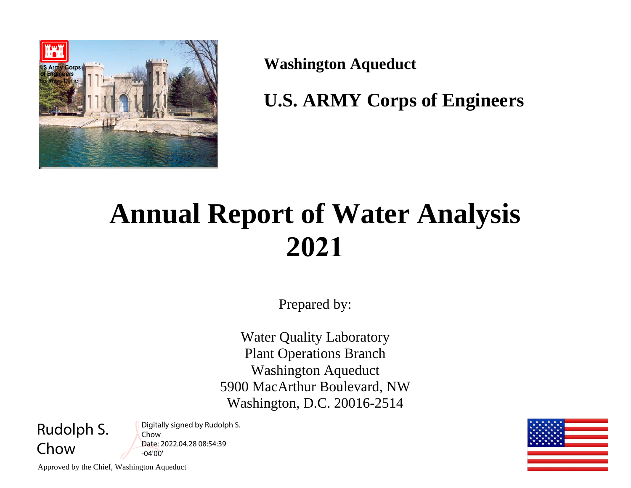

**Washington Aqueduct** 

**U.S. ARMY Corps of Engineers** 

# **Annual Report of Water Analysis 2021**

Prepared by:

Water Quality Laboratory Plant Operations Branch Washington Aqueduct 5900 MacArthur Boulevard, NW Washington, D.C. 20016-2514



Digitally signed by Rudolph S. Chow Date: 2022.04.28 08:54:39 -04'00'



Approved by the Chief, Washington Aqueduct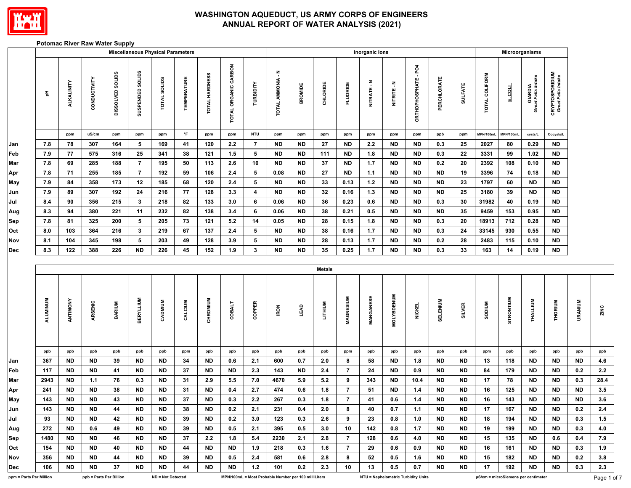

#### **Potomac River Raw Water Supply**

|                         |          |                   |                         |                  |                  | <b>Miscellaneous Physical Parameters</b> |                    |                |                      |                 |                          |                                                      |               |                 | Inorganic lons |                                     |                    |             |                |                | Microorganisms                      |                               |                                              |           |         |
|-------------------------|----------|-------------------|-------------------------|------------------|------------------|------------------------------------------|--------------------|----------------|----------------------|-----------------|--------------------------|------------------------------------------------------|---------------|-----------------|----------------|-------------------------------------|--------------------|-------------|----------------|----------------|-------------------------------------|-------------------------------|----------------------------------------------|-----------|---------|
|                         | 玉        | <b>ALKALINITY</b> | CONDUCTIVITY            | DISSOLVED SOLIDS | SUSPENDED SOLIDS | TOTAL SOLIDS                             | <b>TEMPERATURE</b> | TOTAL HARDNESS | TOTAL ORGANIC CARBON | TURBIDITY       | <b>TOTAL AMMONIA - N</b> | <b>BROMIDE</b>                                       | CHLORIDE      | <b>FLUORIDE</b> | NITRATE-N      | NITRITE - N                         | ORTHOPHOSPHATE-PO4 | PERCHLORATE | <b>SULFATE</b> | TOTAL COLIFORM | <b>F</b> COLL                       | GIARDIA<br>Great Falls Intake | <b>CRYPTOSPORIDIUM</b><br>Great Falls Intake |           |         |
|                         |          | ppm               | uS/cm                   | ppm              | ppm              | ppm                                      | $\mathsf{P}$       | ppm            | ppm                  | <b>NTU</b>      | ppm                      | ppm                                                  | ppm           | ppm             | ppm            | ppm                                 | ppm                | ppb         | ppm            | MPN/100mL      | MPN/100mL                           | cysts/L                       | Oocysts/L                                    |           |         |
| Jan                     | 7.8      | 78                | 307                     | 164              | 5                | 169                                      | 41                 | 120            | $2.2$                | $\overline{7}$  | <b>ND</b>                | <b>ND</b>                                            | 27            | <b>ND</b>       | 2.2            | <b>ND</b>                           | <b>ND</b>          | 0.3         | 25             | 2027           | 80                                  | 0.29                          | <b>ND</b>                                    |           |         |
| Feb                     | 7.9      | 77                | 575                     | 316              | 25               | 341                                      | 38                 | 121            | $1.5$                | 5               | <b>ND</b>                | <b>ND</b>                                            | 111           | <b>ND</b>       | 1.8            | <b>ND</b>                           | <b>ND</b>          | 0.3         | 22             | 3331           | 99                                  | 1.02                          | <b>ND</b>                                    |           |         |
| Mar                     | 7.8      | 69                | 285                     | 188              | $\overline{7}$   | 195                                      | 50                 | 113            | 2.6                  | 10              | <b>ND</b>                | <b>ND</b>                                            | 37            | <b>ND</b>       | 1.7            | <b>ND</b>                           | <b>ND</b>          | 0.2         | 20             | 2392           | 108                                 | 0.10                          | <b>ND</b>                                    |           |         |
| Apr                     | 7.8      | 71                | 255                     | 185              | $\overline{7}$   | 192                                      | 59                 | 106            | $2.4\,$              | 5               | 0.08                     | <b>ND</b>                                            | 27            | <b>ND</b>       | 1.1            | <b>ND</b>                           | <b>ND</b>          | <b>ND</b>   | 19             | 3396           | 74                                  | 0.18                          | <b>ND</b>                                    |           |         |
| May                     | 7.9      | 84                | 358                     | 173              | 12               | 185                                      | 68                 | 120            | $2.4\,$              | 5               | <b>ND</b>                | <b>ND</b>                                            | 33            | 0.13            | $1.2$          | <b>ND</b>                           | <b>ND</b>          | <b>ND</b>   | 23             | 1797           | 60                                  | <b>ND</b>                     | <b>ND</b>                                    |           |         |
| Jun                     | 7.9      | 89                | 307                     | 192              | 24               | 216                                      | 77                 | 128            | 3.3                  | 4               | <b>ND</b>                | <b>ND</b>                                            | 32            | 0.16            | 1.3            | <b>ND</b>                           | <b>ND</b>          | <b>ND</b>   | 25             | 3180           | 39                                  | <b>ND</b>                     | <b>ND</b>                                    |           |         |
| Jul                     | 8.4      | 90                | 356                     | 215              | $\mathbf{3}$     | 218                                      | 82                 | 133            | 3.0                  | 6               | 0.06                     | <b>ND</b>                                            | 36            | 0.23            | 0.6            | <b>ND</b>                           | <b>ND</b>          | 0.3         | 30             | 31982          | 40                                  | 0.19                          | <b>ND</b>                                    |           |         |
| Aug                     | 8.3      | 94                | 380                     | 221              | 11               | 232                                      | 82                 | 138            | 3.4                  | 6               | 0.06                     | <b>ND</b>                                            | 38            | 0.21            | 0.5            | <b>ND</b>                           | <b>ND</b>          | <b>ND</b>   | ${\bf 35}$     | 9459           | 153                                 | 0.95                          | <b>ND</b>                                    |           |         |
| Sep                     | 7.8      | 81                | 325                     | 200              | 5                | 205                                      | 73                 | 121            | 5.2                  | 14              | 0.05                     | <b>ND</b>                                            | 28            | 0.15            | 1.8            | <b>ND</b>                           | <b>ND</b>          | 0.3         | 20             | 18913          | 712                                 | 0.28                          | <b>ND</b>                                    |           |         |
| Oct                     | 8.0      | 103               | 364                     | 216              | $\mathbf{3}$     | 219                                      | 67                 | 137            | 2.4                  | 5               | <b>ND</b>                | <b>ND</b>                                            | 38            | 0.16            | 1.7            | <b>ND</b>                           | <b>ND</b>          | 0.3         | ${\bf 24}$     | 33145          | 930                                 | 0.55                          | <b>ND</b>                                    |           |         |
| Nov                     | 8.1      | 104               | 345                     | 198              | 5                | 203                                      | 49                 | 128            | 3.9                  | $5\phantom{.0}$ | ND                       | <b>ND</b>                                            | 28            | 0.13            | 1.7            | <b>ND</b>                           | <b>ND</b>          | 0.2         | 28             | 2483           | 115                                 | 0.10                          | <b>ND</b>                                    |           |         |
| <b>Dec</b>              | 8.3      | 122               | 388                     | 226              | <b>ND</b>        | 226                                      | 45                 | 152            | 1.9                  | $\mathbf{3}$    | <b>ND</b>                | <b>ND</b>                                            | 35            | 0.25            | 1.7            | <b>ND</b>                           | <b>ND</b>          | 0.3         | 33             | 163            | 14                                  | 0.19                          | $\sf ND$                                     |           |         |
|                         |          |                   |                         |                  |                  |                                          |                    |                |                      |                 |                          |                                                      | <b>Metals</b> |                 |                |                                     |                    |             |                |                |                                     |                               |                                              |           |         |
|                         | ALUMINUM | ANTIMONY          | ARSENIC                 | <b>BARIUM</b>    | <b>BERYLLIUM</b> | CADMIUM                                  | CALCIUM            | CHROMIUM       | <b>COBALT</b>        | COPPER          | <b>RON</b>               | <b>LEAD</b>                                          | LITHIUM       | MAGNESIUM       | MANGANESE      | <b>MOLYBDENUM</b>                   | <b>NICKEL</b>      | SELENIUM    | <b>SILVER</b>  | <b>SODIUM</b>  | <b>STRONTIUM</b>                    | THALLIUM                      | THORIUM                                      | URANIUM   | ZINC    |
|                         | ppb      | ppb               | ppb                     | ppb              | ppb              | ppb                                      | ppm                | ppb            | ppb                  | ppb             | ppb                      | ppb                                                  | ppb           | ppm             | ppb            | ppb                                 | ppb                | ppb         | ppb            | ppm            | ppb                                 | ppb                           | ppb                                          | ppb       | ppb     |
| Jan                     | 367      | <b>ND</b>         | <b>ND</b>               | 39               | <b>ND</b>        | <b>ND</b>                                | 34                 | ND             | 0.6                  | 2.1             | 600                      | 0.7                                                  | 2.0           | 8               | 58             | <b>ND</b>                           | 1.8                | <b>ND</b>   | <b>ND</b>      | 13             | 118                                 | ND                            | <b>ND</b>                                    | ND.       | 4.6     |
| Feb                     | 117      | <b>ND</b>         | <b>ND</b>               | 41               | <b>ND</b>        | <b>ND</b>                                | 37                 | ND             | <b>ND</b>            | 2.3             | 143                      | <b>ND</b>                                            | 2.4           | $\overline{7}$  | 24             | <b>ND</b>                           | 0.9                | <b>ND</b>   | <b>ND</b>      | 84             | 179                                 | <b>ND</b>                     | <b>ND</b>                                    | 0.2       | $2.2\,$ |
| Mar                     | 2943     | <b>ND</b>         | 1.1                     | 76               | 0.3              | <b>ND</b>                                | 31                 | 2.9            | 5.5                  | 7.0             | 4670                     | 5.9                                                  | 5.2           | 9               | 343            | <b>ND</b>                           | 10.4               | <b>ND</b>   | <b>ND</b>      | $17\,$         | 78                                  | <b>ND</b>                     | <b>ND</b>                                    | 0.3       | 28.4    |
| Apr                     | 241      | <b>ND</b>         | <b>ND</b>               | 38               | <b>ND</b>        | <b>ND</b>                                | 31                 | <b>ND</b>      | 0.4                  | 2.7             | 474                      | 0.6                                                  | 1.8           | $\overline{7}$  | 51             | <b>ND</b>                           | 1.4                | ND          | ND             | 16             | 125                                 | <b>ND</b>                     | <b>ND</b>                                    | <b>ND</b> | $3.5\,$ |
| May                     | 143      | <b>ND</b>         | <b>ND</b>               | 43               | <b>ND</b>        | <b>ND</b>                                | 37                 | <b>ND</b>      | 0.3                  | $2.2$           | 267                      | 0.3                                                  | 1.8           | $\overline{7}$  | 41             | 0.6                                 | 1.4                | <b>ND</b>   | <b>ND</b>      | 16             | 143                                 | <b>ND</b>                     | <b>ND</b>                                    | <b>ND</b> | 3.6     |
| Jun                     | 143      | ND                | ND                      | 44               | ND               | <b>ND</b>                                | 38                 | <b>ND</b>      | 0.2                  | 2.1             | 231                      | 0.4                                                  | 2.0           | 8               | 40             | 0.7                                 | 1.1                | ND          | <b>ND</b>      | 17             | 167                                 | ND                            | ND                                           | 0.2       | 2.4     |
| Jul                     | 93       | ND.               | <b>ND</b>               | 42               | <b>ND</b>        | <b>ND</b>                                | 39                 | ND.            | 0.2                  | 3.0             | 123                      | 0.3                                                  | 2.6           | 9               | 23             | 0.8                                 | 1.0                | ND          | ND.            | 18             | 194                                 | <b>ND</b>                     | ND.                                          | 0.3       | 1.5     |
| Aug                     | 272      | ND.               | 0.6                     | 49               | ND               | <b>ND</b>                                | 39                 | ND.            | 0.5                  | 2.1             | 395                      | 0.5                                                  | 3.0           | 10              | 142            | 0.8                                 | 1.7                | ND          | <b>ND</b>      | 19             | 199                                 | ND                            | <b>ND</b>                                    | 0.3       | 4.0     |
| Sep                     | 1480     | <b>ND</b>         | ND                      | 46               | ND               | ND.                                      | 37                 | 2.2            | 1.8                  | 5.4             | 2230                     | 2.1                                                  | 2.8           | 7               | 128            | 0.6                                 | 4.0                | ND          | ND             | 15             | 135                                 | ND                            | 0.6                                          | 0.4       | 7.9     |
| Oct                     | 154      | ND.               | ND.                     | 40               | ND               | ND.                                      | 44                 | ND.            | ND.                  | 1.9             | 218                      | 0.3                                                  | 1.6           | 7               | 29             | 0.6                                 | 0.9                | ND.         | ND             | 16             | 161                                 | ND                            | ND                                           | 0.3       | 1.9     |
| Nov                     | 356      | <b>ND</b>         | ND.                     | 44               | ND               | ND.                                      | 39                 | ND.            | 0.5                  | 2.4             | 581                      | 0.6                                                  | 2.8           | 8               | 52             | 0.5                                 | 1.6                | ND.         | ND             | 15             | 182                                 | ND                            | ND                                           | 0.2       | 3.8     |
| Dec                     | 106      | <b>ND</b>         | ND                      | 37               | ND.              | ND                                       | 44                 | <b>ND</b>      | <b>ND</b>            | 1.2             | 101                      | 0.2                                                  | 2.3           | 10              | 13             | 0.5                                 | 0.7                | <b>ND</b>   | <b>ND</b>      | 17             | 192                                 | ND                            | ND.                                          | 0.3       | 2.3     |
| ppm = Parts Per Million |          |                   | ppb = Parts Per Billion |                  |                  | ND = Not Detected                        |                    |                |                      |                 |                          | MPN/100mL = Most Probable Number per 100 milliLiters |               |                 |                | NTU = Nephelometric Turbidity Units |                    |             |                |                | µS/cm = microSiemens per centimeter |                               |                                              |           | Page    |

28.4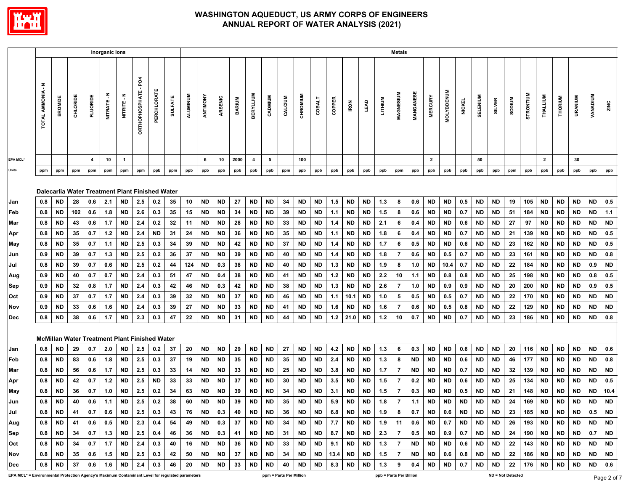

|                                                                                                 |                           |           |                                                       |                 | Inorganic lons |              |                             |             |                |          |           |           |               |                  |           |                         |           |               |        |            |           |                | <b>Metals</b>           |           |                |                   |               |           |           |                   |           |                |           |                |                  |           |
|-------------------------------------------------------------------------------------------------|---------------------------|-----------|-------------------------------------------------------|-----------------|----------------|--------------|-----------------------------|-------------|----------------|----------|-----------|-----------|---------------|------------------|-----------|-------------------------|-----------|---------------|--------|------------|-----------|----------------|-------------------------|-----------|----------------|-------------------|---------------|-----------|-----------|-------------------|-----------|----------------|-----------|----------------|------------------|-----------|
|                                                                                                 | Ŧ<br><b>TOTAL AMMONIA</b> | BROMIDE   | CHLORIDE                                              | <b>FLUORIDE</b> | NITRATE-N      | NITRITE-N    | <b>ORTHOPHOSPHATE - PO4</b> | PERCHLORATE | <b>SULFATE</b> | ALUMINUM | ANTIMONY  | ARSENIC   | <b>BARIUM</b> | <b>BERYLLIUM</b> | CADMIUM   | CALCIUM                 | CHROMIUM  | <b>COBALT</b> | COPPER | <b>RON</b> | LEAD      | <b>LITHIUM</b> | MAGNESIUM               | MANGANESE | <b>MERCURY</b> | <b>MOLYBDENUM</b> | <b>NICKEL</b> | SELENIUM  | SILVER    | <b>MUIDOS</b>     | STRONTIUM | THALLIUM       | THORUM    | <b>URANIUM</b> | WUIGANAV         | ZINC      |
| <b>EPA MCL*</b>                                                                                 |                           |           |                                                       | $\overline{4}$  | 10             | $\mathbf{1}$ |                             |             |                |          | 6         | 10        | 2000          | $\overline{a}$   | 5         |                         | 100       |               |        |            |           |                |                         |           | $\overline{2}$ |                   |               | 50        |           |                   |           | $\overline{2}$ |           | 30             |                  |           |
| Units                                                                                           | ppm                       | ppm       | ppm                                                   | ppm             | ppm            | ppm          | ppm                         | ppb         | ppm            | ppb      | ppb       | ppb       | ppb           | ppb              | ppb       | ppm                     | ppb       | ppb           | ppb    | ppb        | ppb       | ppb            | ppm                     | ppb       | ppb            | ppb               | ppb           | ppb       | ppb       | ppm               | ppb       | ppb            | ppb       | ppb            | ppb              | ppb       |
| Jan                                                                                             | 0.8                       | <b>ND</b> | Dalecarlia Water Treatment Plant Finished Water<br>28 | 0.6             | 2.1            | ND           | 2.5                         | 0.2         | 35             | 10       | ND        | ND        | 27            | ND               | ND        | 34                      | ND        | ND            | 1.5    | ND         | ND        | 1.3            | 8                       | 0.6       | ND             | ND                | 0.5           | ND        | ND        | 19                | 105       | ND.            | <b>ND</b> | ND             | ND               | 0.5       |
| Feb                                                                                             | 0.8                       | <b>ND</b> | 102                                                   | 0.6             | 1.8            | <b>ND</b>    | 2.6                         | 0.3         | 35             | 15       | <b>ND</b> | <b>ND</b> | 34            | <b>ND</b>        | <b>ND</b> | 39                      | <b>ND</b> | <b>ND</b>     | 1.1    | <b>ND</b>  | <b>ND</b> | 1.5            | 8                       | 0.6       | ND             | <b>ND</b>         | 0.7           | <b>ND</b> | ND.       | 51                | 184       | ND.            | ND.       | <b>ND</b>      | <b>ND</b>        | 1.1       |
| Mar                                                                                             | 0.8                       | <b>ND</b> | 43                                                    | 0.6             | 1.7            | <b>ND</b>    | 2.4                         | 0.2         | 32             | 11       | <b>ND</b> | <b>ND</b> | 28            | ND               | ND        | 33                      | ND        | ND            | 1.4    | ND         | ND        | 2.1            | 6                       | 0.4       | ND             | ND                | 0.6           | ND        | ND        | 27                | 97        | ND.            | <b>ND</b> | ND             | ND               | <b>ND</b> |
| Apr                                                                                             | 0.8                       | <b>ND</b> | 35                                                    | 0.7             | $1.2$          | <b>ND</b>    | 2.4                         | <b>ND</b>   | 31             | 24       | <b>ND</b> | <b>ND</b> | 36            | <b>ND</b>        | <b>ND</b> | 35                      | <b>ND</b> | <b>ND</b>     | 1.1    | <b>ND</b>  | <b>ND</b> | 1.8            | 6                       | 0.4       | <b>ND</b>      | ND                | 0.7           | ND        | ND        | 21                | 139       | ND             | <b>ND</b> | <b>ND</b>      | ND.              | 0.5       |
| May                                                                                             | 0.8                       | <b>ND</b> | 35                                                    | 0.7             | 1.1            | <b>ND</b>    | 2.5                         | 0.3         | 34             | 39       | <b>ND</b> | <b>ND</b> | 42            | <b>ND</b>        | <b>ND</b> | 37                      | <b>ND</b> | <b>ND</b>     | 1.4    | <b>ND</b>  | <b>ND</b> | 1.7            | 6                       | 0.5       | <b>ND</b>      | <b>ND</b>         | 0.6           | ND        | <b>ND</b> | 23                | 162       | <b>ND</b>      | <b>ND</b> | <b>ND</b>      | ND               | 0.5       |
| Jun                                                                                             | 0.9                       | <b>ND</b> | 39                                                    | 0.7             | 1.3            | <b>ND</b>    | 2.5                         | 0.2         | 36             | 37       | ND        | ND        | 39            | ND               | ND        | 40                      | ND        | <b>ND</b>     | 1.4    | <b>ND</b>  | <b>ND</b> | 1.8            | 7                       | 0.6       | ND             | 0.5               | 0.7           | ND        | ND        | 23                | 161       | <b>ND</b>      | <b>ND</b> | ND             | <b>ND</b>        | 0.8       |
| Jul                                                                                             | 0.8                       | <b>ND</b> | 39                                                    | 0.7             | 0.6            | <b>ND</b>    | $2.5\,$                     | 0.2         | 44             | 124      | <b>ND</b> | 0.3       | 38            | <b>ND</b>        | <b>ND</b> | 40                      | <b>ND</b> | <b>ND</b>     | 1.3    | <b>ND</b>  | <b>ND</b> | 1.9            | 8                       | 1.0       | <b>ND</b>      | 10.4              | 0.7           | ND        | ND        | 22                | 184       | ND.            | <b>ND</b> | <b>ND</b>      | 0.9              | <b>ND</b> |
| Aug                                                                                             | 0.9                       | <b>ND</b> | 40                                                    | 0.7             | 0.7            | <b>ND</b>    | 2.4                         | 0.3         | 51             | 47       | <b>ND</b> | 0.4       | 38            | ND               | ND        | 41                      | ND        | <b>ND</b>     | $1.2$  | ND         | ND        | 2.2            | 10                      | 1.1       | ND             | 0.8               | 0.8           | ND        | ND        | 25                | 198       | <b>ND</b>      | <b>ND</b> | ND             | 0.8              | 0.5       |
| Sep                                                                                             | 0.9                       | <b>ND</b> | 32                                                    | 0.8             | $1.7$          | <b>ND</b>    | 2.4                         | 0.3         | 42             | 46       | <b>ND</b> | 0.3       | 42            | <b>ND</b>        | <b>ND</b> | 38                      | <b>ND</b> | <b>ND</b>     | 1.3    | <b>ND</b>  | <b>ND</b> | 2.6            | $\overline{7}$          | 1.0       | <b>ND</b>      | 0.9               | 0.9           | ND        | ND        | 20                | 200       | ND             | ND        | ND             | 0.9              | 0.5       |
| Oct                                                                                             | 0.9                       | <b>ND</b> | 37                                                    | 0.7             | 1.7            | <b>ND</b>    | 2.4                         | 0.3         | 39             | 32       | <b>ND</b> | <b>ND</b> | 37            | <b>ND</b>        | <b>ND</b> | 46                      | <b>ND</b> | <b>ND</b>     | 1.1    | 10.1       | ND        | 1.0            | 5                       | 0.5       | ND             | 0.5               | 0.7           | ND        | ND        | 22                | 170       | ND             | <b>ND</b> | <b>ND</b>      | ND               | <b>ND</b> |
| Nov                                                                                             | 0.9                       | <b>ND</b> | 33                                                    | 0.6             | 1.6            | ND           | 2.4                         | 0.3         | 39             | 27       | ND        | ND        | 33            | ND               | ND        | 41                      | <b>ND</b> | <b>ND</b>     | 1.6    | ND         | ND        | 1.6            | 7                       | 0.6       | ND             | 0.5               | 0.8           | ND        | ND        | 22                | 129       | ND.            | <b>ND</b> | ND             | ND               | <b>ND</b> |
| Dec                                                                                             | 0.8                       | <b>ND</b> | 38                                                    | 0.6             | 1.7            | <b>ND</b>    | 2.3                         | 0.3         | 47             | 22       | <b>ND</b> | <b>ND</b> | 31            | <b>ND</b>        | <b>ND</b> | 44                      | <b>ND</b> | <b>ND</b>     | $1.2$  | 21.0       | <b>ND</b> | $1.2$          | 10                      | 0.7       | <b>ND</b>      | <b>ND</b>         | 0.7           | <b>ND</b> | <b>ND</b> | 23                | 186       | <b>ND</b>      | <b>ND</b> | <b>ND</b>      | <b>ND</b>        | 0.8       |
|                                                                                                 |                           |           | <b>McMillan Water Treatment Plant Finished Water</b>  |                 |                |              |                             |             |                |          |           |           |               |                  |           |                         |           |               |        |            |           |                |                         |           |                |                   |               |           |           |                   |           |                |           |                |                  |           |
| Jan                                                                                             | 0.8                       | <b>ND</b> | 29                                                    | 0.7             | 2.0            | ND           | 2.5                         | 0.2         | 37             | 20       | <b>ND</b> | <b>ND</b> | 29            | <b>ND</b>        | ND        | 27                      | ND        | ND            | 4.2    | ND         | ND        | 1.3            | 6                       | 0.3       | ND             | ND                | 0.6           | ND        | ND        | 20                | 116       | ND             | ND        | <b>ND</b>      | <b>ND</b>        | 0.6       |
| Feb                                                                                             | 0.8                       | <b>ND</b> | 83                                                    | 0.6             | 1.8            | <b>ND</b>    | 2.5                         | 0.3         | 37             | 19       | ND.       | <b>ND</b> | 35            | ND               | ND        | 35                      | <b>ND</b> | <b>ND</b>     | 2.4    | <b>ND</b>  | <b>ND</b> | 1.3            | 8                       | ND.       | <b>ND</b>      | <b>ND</b>         | 0.6           | ND        | <b>ND</b> | 46                | 177       | <b>ND</b>      | <b>ND</b> | <b>ND</b>      | ND.              | 0.8       |
| Mar                                                                                             | 0.8                       | <b>ND</b> | 56                                                    | 0.6             | 1.7            | <b>ND</b>    | 2.5                         | 0.3         | 33             | 14       | <b>ND</b> | <b>ND</b> | 33            | <b>ND</b>        | ND        | 25                      | ND        | ND            | 3.8    | <b>ND</b>  | ND        | 1.7            | $\overline{7}$          | ND.       | ND.            | ND                | 0.7           | ND        | ND        | 32                | 139       | ND.            | <b>ND</b> | <b>ND</b>      | ND.              | <b>ND</b> |
| Apr                                                                                             | 0.8                       | <b>ND</b> | 42                                                    | 0.7             | 1.2            | ND           | 2.5                         | <b>ND</b>   | 33             | 33       | <b>ND</b> | <b>ND</b> | 37            | ND               | ND        | 30                      | ND        | ND            | 3.5    | ND         | ND        | 1.5            | $\overline{7}$          | 0.2       | ND             | ND                | 0.6           | ND        | ND        | 25                | 134       | ND             | ND        | ND             | ND               | 0.5       |
| May                                                                                             | 0.8                       | <b>ND</b> | 36                                                    | 0.7             | 1.0            | <b>ND</b>    | 2.5                         | 0.2         | 34             | 63       | <b>ND</b> | <b>ND</b> | 39            | <b>ND</b>        | <b>ND</b> | 34                      | <b>ND</b> | <b>ND</b>     | 3.1    | <b>ND</b>  | ND        | 1.5            | 7                       | 0.3       | <b>ND</b>      | ND                | 0.5           | ND        | ND        | 21                | 148       | ND             | ND        | <b>ND</b>      | ND               | 10.4      |
| Jun                                                                                             | 0.8                       | <b>ND</b> | 40                                                    | 0.6             | 1.1            | <b>ND</b>    | 2.5                         | 0.2         | 38             | 60       | <b>ND</b> | <b>ND</b> | 39            | <b>ND</b>        | <b>ND</b> | 35                      | <b>ND</b> | <b>ND</b>     | 5.9    | <b>ND</b>  | <b>ND</b> | 1.8            | $\overline{7}$          | 1.1       | <b>ND</b>      | <b>ND</b>         | <b>ND</b>     | <b>ND</b> | <b>ND</b> | 24                | 169       | <b>ND</b>      | <b>ND</b> | <b>ND</b>      | ND               | <b>ND</b> |
| Jul                                                                                             | 0.8                       | <b>ND</b> | 41                                                    | 0.7             | 0.6            | ND           | 2.5                         | 0.3         | 43             | 76       | ND        | 0.3       | 40            | ND               | ND        | 36                      | <b>ND</b> | <b>ND</b>     | 6.8    | ND         | ND        | 1.9            | 8                       | 0.7       | ND             | 0.6               | ND.           | ND.       | ND        | 23                | 185       | <b>ND</b>      | <b>ND</b> | <b>ND</b>      | 0.5              | ND        |
| Aug                                                                                             | 0.8                       | ND        | 41                                                    | 0.6             | 0.5            | ND.          | 2.3                         | 0.4         | 54             | 49       | ND        | 0.3       | 37            | ND               | ND        | 34                      | ND        | <b>ND</b>     | 7.7    | <b>ND</b>  | ND.       | 1.9            | 11                      | 0.6       | ND.            | 0.7               | ND.           | ND.       | ND        | 26                | 193       | <b>ND</b>      | ND.       | ND.            | ND I             | <b>ND</b> |
| Sep                                                                                             | 0.8                       | ND        | 34                                                    | 0.7             | 1.3            | ND           | 2.5                         | 0.4         | 46             | 36       | ND        | 0.3       | 41            | ND               | ND        | 31                      | ND        | ND            | 8.7    | ND         | ND        | 2.3            | 7                       | 0.5       | ND             | 0.9               | 0.7           | ND        | ND.       | 24                | 190       | ND.            | ND        | ND             | 0.7 <sub>1</sub> | ND        |
| Oct                                                                                             | 0.8                       | <b>ND</b> | 34                                                    | 0.7             | 1.7            | ND           | 2.4                         | 0.3         | 40             | 16       | <b>ND</b> | <b>ND</b> | 36            | ND               | ND        | 33                      | ND        | ND            | 9.1    | ND         | ND        | 1.3            | 7                       | ND        | ND             | ND                | 0.6           | ND        | ND.       | 22                | 143       | ND             | ND        | ND             | ND .             | ND        |
| Nov                                                                                             | 0.8                       | <b>ND</b> | 35                                                    | 0.6             | 1.5            | ND           | 2.5                         | 0.3         | 42             | 50       | ND        | <b>ND</b> | 37            | ND               | ND        | 34                      | ND        | <b>ND</b>     | 13.4   | ND         | ND.       | 1.5            | 7                       | ND.       | ND             | 0.6               | 0.8           | ND        | ND        | 22                | 186       | ND.            | <b>ND</b> | ND.            | ND .             | ND        |
| Dec                                                                                             | 0.8                       | <b>ND</b> | 37                                                    | 0.6             | 1.6            | ND           | 2.4                         | 0.3         | 46             | 20       | <b>ND</b> | ND        | 33            | ND               | ND        | 40                      | <b>ND</b> | <b>ND</b>     | 8.3    | ND         | ND        | 1.3            | 9                       | 0.4       | ND             | ND.               | 0.7           | ND        | ND        | 22                | 176       | <b>ND</b>      | ND        | ND             | ND               | 0.6       |
| EPA MCL* = Environmental Protection Agency's Maximum Contaminant Level for regulated parameters |                           |           |                                                       |                 |                |              |                             |             |                |          |           |           |               |                  |           | ppm = Parts Per Million |           |               |        |            |           |                | ppb = Parts Per Billion |           |                |                   |               |           |           | ND = Not Detected |           |                |           |                |                  | Page 2 of |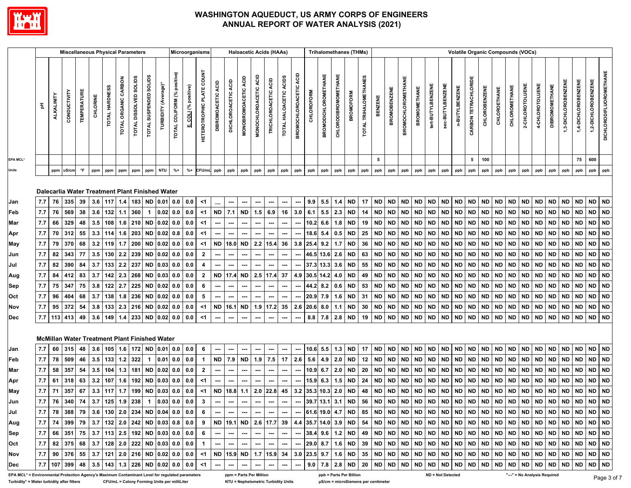

|                                                                                                 |                  |                   | <b>Miscellaneous Physical Parameters</b>             |                    |          |                |                      |                        |                                  |                      |                             | Microorganisms       |                                  |                              |                     | <b>Haloacetic Acids (HAAs)</b>   |                          |                      |                           |                          |                   |                             |                      | <b>Trihalomethanes (THMs)</b> |                       |           |                     |                           |                     |                          |                  |                |                      |                      |              |               | <b>Volatile Organic Compounds (VOCs)</b> |                 |                       |                        |                   |                     |                         |
|-------------------------------------------------------------------------------------------------|------------------|-------------------|------------------------------------------------------|--------------------|----------|----------------|----------------------|------------------------|----------------------------------|----------------------|-----------------------------|----------------------|----------------------------------|------------------------------|---------------------|----------------------------------|--------------------------|----------------------|---------------------------|--------------------------|-------------------|-----------------------------|----------------------|-------------------------------|-----------------------|-----------|---------------------|---------------------------|---------------------|--------------------------|------------------|----------------|----------------------|----------------------|--------------|---------------|------------------------------------------|-----------------|-----------------------|------------------------|-------------------|---------------------|-------------------------|
|                                                                                                 | 玉                | <b>ALKALINITY</b> | CONDUCTIVITY                                         | <b>TEMPERATURE</b> | CHLORINE | TOTAL HARDNESS | TOTAL ORGANIC CARBON | TOTAL DISSOLVED SOLIDS | TOTAL SUSPENDED SOLIDS           | TURBIDITY (Average)* | TOTAL COLIFORM (% positive) | E. COLI (% positive) | <b>HETEROTROPHIC PLATE COUNT</b> | ACID<br><b>DIBROMOACETIC</b> | DICHLOROACETIC ACID | MONOBROMOACETIC ACID             | MONOCHLOROACETIC ACID    | TRICHLOROACETIC ACID | ACIDS<br>TOTAL HALOACETIC | BROMOCHLOROACETIC ACID   | <b>CHLOROFORM</b> | <b>BROMODICHLOROMETHANE</b> | CHLORODIBROMOMETHANE | <b>BROMOFORM</b>              | TOTAL TRIHALOMETHANES | BENZENE   | <b>BROMOBENZENE</b> | <b>BROMOCHLOROMETHANE</b> | <b>BROMOMETHANE</b> | tert-BUTYLBENZENE        | Sec-BUTYLBENZENE | n-BUTYLBENZENE | CARBON TETRACHLORIDE | <b>CHLOROBENZENE</b> | CHLOROETHANE | CHLOROMETHANE | 2-CHLOROTOLUENE                          | 4-CHLOROTOLUENE | <b>DIBROMOMETHANE</b> | 1,3-DICHLOROBENZENE    | 4-DICHLOROBENZENE | 1,2-DICHLOROBENZENE | DICHLORODIFLUOROMETHANE |
| <b>EPA MCL*</b>                                                                                 |                  |                   |                                                      |                    |          |                |                      |                        |                                  |                      |                             |                      |                                  |                              |                     |                                  |                          |                      |                           |                          |                   |                             |                      |                               |                       | 5         |                     |                           |                     |                          |                  |                | 5                    | 100                  |              |               |                                          |                 |                       |                        | 75                | 600                 |                         |
| Units                                                                                           |                  | ppm               | uS/cm                                                | °F                 | ppm      | ppm            | ppm                  | ppm                    | ppm                              | <b>NTU</b>           | $% +$                       | $% +$                | CFU/ml                           | ppb                          | ppb                 | ppb                              | ppb                      | ppb                  | ppb                       | ppb                      | ppb               | ppb                         | ppb                  | ppb                           | ppb                   | ppb       | ppb                 | ppb                       | ppb                 | ppb                      | ppb              | ppb            | ppb                  | ppb                  | ppb          | ppb           | ppb                                      | ppb             | ppb                   | ppb                    | ppb               | ppb                 | ppb                     |
|                                                                                                 |                  |                   | Dalecarlia Water Treatment Plant Finished Water      |                    |          |                |                      |                        |                                  |                      |                             |                      |                                  |                              |                     |                                  |                          |                      |                           |                          |                   |                             |                      |                               |                       |           |                     |                           |                     |                          |                  |                |                      |                      |              |               |                                          |                 |                       |                        |                   |                     |                         |
| Jan                                                                                             | 7.7              | 76                | 335                                                  | 39                 | 3.6      | 117            | 1.4                  | $183$ ND               |                                  | $0.01$ 0.0           |                             | 0.0                  | $<$ 1                            |                              | …                   | ---                              |                          | ---                  |                           |                          | 9.9               | 5.5                         | 1.4                  | <b>ND</b>                     | 17                    | <b>ND</b> | <b>ND</b>           | <b>ND</b>                 | <b>ND</b>           | <b>ND</b>                | <b>ND</b>        | <b>ND</b>      | <b>ND</b>            | <b>ND</b>            | <b>ND</b>    | <b>ND</b>     | <b>ND</b>                                | <b>ND</b>       | <b>ND</b>             | <b>ND</b>              | <b>ND</b>         | ND ND               |                         |
| Feb                                                                                             | 7.7              | 76                | 569                                                  | 38                 | 3.6      | 132            | 1.1                  | 360                    | $\mathbf{1}$                     | $0.02$ 0.0           |                             | 0.0                  | $<$ 1                            | <b>ND</b>                    | 7.1                 | <b>ND</b>                        | $1.5$                    | 6.9                  | 16                        | 3.0                      | 6.1               | 5.5                         | 2.3                  | <b>ND</b>                     | 14                    | <b>ND</b> | <b>ND</b>           | <b>ND</b>                 | <b>ND</b>           | <b>ND</b>                | ND               | <b>ND</b>      | <b>ND</b>            | <b>ND</b>            | <b>ND</b>    | <b>ND</b>     | <b>ND</b>                                | <b>ND</b>       | <b>ND</b>             | <b>ND</b>              | <b>ND</b>         | $\sf ND$            | <b>ND</b>               |
| Mar                                                                                             | 7.7              | 66                | 329                                                  | 48                 | 3.5      | 108            | 1.6                  | 210                    | <b>ND</b>                        | $0.02 \ 0.0$         |                             | 0.0                  | $<$ 1                            |                              |                     | ---                              | ---                      | ---                  | ---                       |                          | 10.2              | 6.6                         | 1.8                  | <b>ND</b>                     | 19                    | <b>ND</b> | <b>ND</b>           | <b>ND</b>                 | <b>ND</b>           | <b>ND</b>                | ND               | <b>ND</b>      | <b>ND</b>            | <b>ND</b>            | <b>ND</b>    | ND            | ND                                       | <b>ND</b>       | <b>ND</b>             | <b>ND</b>              | <b>ND</b>         | <b>ND</b>           | <b>ND</b>               |
| Apr                                                                                             | 7.7              | 70                | 312                                                  | 55                 | 3.3      | 114            | 1.6                  | 203                    | ND                               | $0.02 \, 0.8$        |                             | 0.0                  | $<$ 1                            |                              |                     |                                  |                          |                      | ---                       |                          | 18.6              | 5.4                         | 0.5                  | <b>ND</b>                     | 25                    | <b>ND</b> | ND                  | <b>ND</b>                 | <b>ND</b>           | <b>ND</b>                | ND               | <b>ND</b>      | <b>ND</b>            | <b>ND</b>            | <b>ND</b>    | <b>ND</b>     | ND                                       | <b>ND</b>       | <b>ND</b>             | <b>ND</b>              | <b>ND</b>         | <b>ND</b>           | <b>ND</b>               |
| May                                                                                             | 7.7              | 79                | 370                                                  | 68                 | 3.2      | 119            | 1.7                  | 200                    | <b>ND</b>                        | $0.02$ 0.0           |                             | 0.0                  | $<$ 1                            | <b>ND</b>                    | 18.0                | <b>ND</b>                        | 2.2                      | 15.4                 | 36                        | 3.8                      | 25.4              | 9.2                         | 1.7                  | <b>ND</b>                     | 36                    | <b>ND</b> | <b>ND</b>           | <b>ND</b>                 | <b>ND</b>           | <b>ND</b>                | <b>ND</b>        | <b>ND</b>      | <b>ND</b>            | <b>ND</b>            | <b>ND</b>    | <b>ND</b>     | <b>ND</b>                                | <b>ND</b>       | <b>ND</b>             | <b>ND</b>              | <b>ND</b>         | <b>ND</b>           | <b>ND</b>               |
| Jun                                                                                             | $7.7\,$          | 82                | 343                                                  | 77                 | 3.5      | 130            | 2.2                  | 239                    | <b>ND</b>                        | $0.02 \ 0.0$         |                             | 0.0                  | $\mathbf{2}$                     | ---                          | ---                 | ---                              | ---                      | ---                  | ---                       | ---                      | 46.5              |                             | $13.6$ 2.6           | <b>ND</b>                     | 63                    | <b>ND</b> | <b>ND</b>           | <b>ND</b>                 | <b>ND</b>           | <b>ND</b>                | <b>ND</b>        | <b>ND</b>      | <b>ND</b>            | <b>ND</b>            | <b>ND</b>    | <b>ND</b>     | <b>ND</b>                                | <b>ND</b>       | <b>ND</b>             | <b>ND</b>              | <b>ND</b>         | <b>ND</b>           | <b>ND</b>               |
| Jul                                                                                             | $7.7\,$          | 82                | 390                                                  | 84                 | 3.7      | 133            | 2.2                  | 237                    | <b>ND</b>                        | $0.03$ 0.0           |                             | 0.0                  | 4                                | ---                          | …                   | ---                              | ---                      | ---                  | ---                       | ---                      | 37.3              |                             | $13.3$ 3.6           | <b>ND</b>                     | 55                    | <b>ND</b> | <b>ND</b>           | <b>ND</b>                 | <b>ND</b>           | <b>ND</b>                | ND               | <b>ND</b>      | <b>ND</b>            | <b>ND</b>            | <b>ND</b>    | <b>ND</b>     | <b>ND</b>                                | <b>ND</b>       | <b>ND</b>             | <b>ND</b>              | <b>ND</b>         | <b>ND</b>           | <b>ND</b>               |
| Aug                                                                                             | 7.7              | 84                | 412                                                  | 83                 | 3.7      | 142            | 2.3                  | 268                    | <b>ND</b>                        | $0.03 \ 0.0$         |                             | 0.0                  | $\mathbf{2}$                     |                              | ND 17.4             | <b>ND</b>                        | 2.5                      | 17.4                 | 37                        | 4.9                      | 30.5              |                             | $14.2 \, 4.0$        | <b>ND</b>                     | 49                    | <b>ND</b> | <b>ND</b>           | <b>ND</b>                 | <b>ND</b>           | <b>ND</b>                | <b>ND</b>        | <b>ND</b>      | <b>ND</b>            | <b>ND</b>            | <b>ND</b>    | ND            | ND                                       | <b>ND</b>       | <b>ND</b>             | <b>ND</b>              | <b>ND</b>         | <b>ND</b>           | <b>ND</b>               |
| Sep                                                                                             | $7.7\,$          | 75                | 347                                                  | 75                 | 3.8      | 122            | 2.7                  | 225                    | ND                               | $0.02$ 0.0           |                             | 0.0                  | 6                                | ---                          | ---                 | ---                              | ---                      | ---                  | ---                       | ---                      | 44.2              | 8.2                         | 0.6                  | <b>ND</b>                     | 53                    | <b>ND</b> | <b>ND</b>           | <b>ND</b>                 | <b>ND</b>           | <b>ND</b>                | ND               | <b>ND</b>      | <b>ND</b>            | <b>ND</b>            | <b>ND</b>    | <b>ND</b>     | <b>ND</b>                                | <b>ND</b>       | <b>ND</b>             | <b>ND</b>              | <b>ND</b>         | <b>ND</b>           | <b>ND</b>               |
| Oct                                                                                             | 7.7              | 96                | 404                                                  | 68                 | 3.7      | 138            | 1.8                  | 236                    | <b>ND</b>                        | $0.02$ 0.0           |                             | 0.0                  | 5                                | ---                          | ---                 | ---                              | ---                      | ---                  | ---                       | ---                      | 20.9              | 7.9                         | 1.6                  | <b>ND</b>                     | 31                    | <b>ND</b> | <b>ND</b>           | <b>ND</b>                 | <b>ND</b>           | <b>ND</b>                | <b>ND</b>        | <b>ND</b>      | <b>ND</b>            | <b>ND</b>            | <b>ND</b>    | <b>ND</b>     | <b>ND</b>                                | <b>ND</b>       | <b>ND</b>             | <b>ND</b>              | <b>ND</b>         | <b>ND</b>           | <b>ND</b>               |
| Nov                                                                                             | 7.7              | 95                | 372                                                  | 54                 | 3.8      | 133            | 2.3                  | 216                    | <b>ND</b>                        | 0.02                 | 0.0                         | 0.0                  | $<$ 1                            | <b>ND</b>                    | 16.1                | <b>ND</b>                        | 1.9                      | 17.2                 | 35                        | 2.6                      | 20.6              | 8.0                         | 1.1                  | <b>ND</b>                     | 30                    | <b>ND</b> | <b>ND</b>           | <b>ND</b>                 | <b>ND</b>           | <b>ND</b>                | ND               | <b>ND</b>      | <b>ND</b>            | ND                   | <b>ND</b>    | <b>ND</b>     | <b>ND</b>                                | <b>ND</b>       | <b>ND</b>             | <b>ND</b>              | <b>ND</b>         | <b>ND</b>           | <b>ND</b>               |
| Dec                                                                                             | 7.7              |                   | 113 413                                              | 49                 | 3.6      | 149            | 1.4                  | 233                    | <b>ND</b>                        | $0.02 \ 0.0$         |                             | 0.0                  | $<$ 1                            | ---                          | …                   |                                  |                          | ---                  | ---                       | ---                      | 8.8               | 7.8                         | $2.8\,$              | <b>ND</b>                     | 19                    | <b>ND</b> | <b>ND</b>           | <b>ND</b>                 | <b>ND</b>           | <b>ND</b>                | <b>ND</b>        | <b>ND</b>      | <b>ND</b>            | <b>ND</b>            | <b>ND</b>    | <b>ND</b>     | <b>ND</b>                                | <b>ND</b>       | <b>ND</b>             | <b>ND</b>              | <b>ND</b>         | ND ND               |                         |
|                                                                                                 |                  |                   | <b>McMillan Water Treatment Plant Finished Water</b> |                    |          |                |                      |                        |                                  |                      |                             |                      |                                  |                              |                     |                                  |                          |                      |                           |                          |                   |                             |                      |                               |                       |           |                     |                           |                     |                          |                  |                |                      |                      |              |               |                                          |                 |                       |                        |                   |                     |                         |
| Jan                                                                                             | 7.7              | 60                | 315                                                  | 48                 | 3.6      | 105            | 1.6                  |                        | 172 ND                           | $0.01$ 0.0           |                             | 0.0                  | 6                                |                              |                     |                                  | ---                      | ---                  |                           | ---                      | 10.6              |                             | $5.5$   1.3          | <b>ND</b>                     | 17                    | <b>ND</b> | <b>ND</b>           | <b>ND</b>                 | <b>ND</b>           | <b>ND</b>                | <b>ND</b>        | <b>ND</b>      | <b>ND</b>            | ND                   | <b>ND</b>    | <b>ND</b>     | <b>ND</b>                                | <b>ND</b>       | <b>ND</b>             | <b>ND</b>              | <b>ND</b>         | ND ND               |                         |
| Feb                                                                                             | 7.7              | 78                | 509                                                  | 46                 | 3.5      | 133            | 1.2                  | 322                    |                                  | 0.01                 | 0.0                         | 0.0                  | $\mathbf{1}$                     | <b>ND</b>                    | 7.9                 | <b>ND</b>                        | 1.9                      | 7.5                  | 17                        | 2.6                      | 5.6               | 4.9                         | 2.0                  | <b>ND</b>                     | 12                    | <b>ND</b> | <b>ND</b>           | <b>ND</b>                 | <b>ND</b>           | <b>ND</b>                | <b>ND</b>        | <b>ND</b>      | <b>ND</b>            | <b>ND</b>            | <b>ND</b>    | <b>ND</b>     | <b>ND</b>                                | <b>ND</b>       | <b>ND</b>             | <b>ND</b>              | <b>ND</b>         | $\sf ND$            | <b>ND</b>               |
| Mar                                                                                             | $7.7\,$          | 58                | 357                                                  | 54                 | 3.5      | 104            | 1.3                  | 181                    | <b>ND</b>                        | $0.02 \ 0.0$         |                             | 0.0                  | $\mathbf{2}$                     | ---                          | ---                 | ---                              | ---                      | ---                  | ---                       | ---                      | 10.9              | 6.7                         | 2.0                  | <b>ND</b>                     | $20\,$                | <b>ND</b> | <b>ND</b>           | <b>ND</b>                 | $\sf ND$            | <b>ND</b>                | ND               | <b>ND</b>      | <b>ND</b>            | <b>ND</b>            | <b>ND</b>    | <b>ND</b>     | <b>ND</b>                                | <b>ND</b>       | <b>ND</b>             | <b>ND</b>              | <b>ND</b>         | $\sf ND$            | <b>ND</b>               |
| Apr                                                                                             | 7.7              | 61                | 318                                                  | 63                 | 3.2      | 107            | 1.6                  | 192                    | <b>ND</b>                        | $0.03 \ 0.0$         |                             | 0.0                  | $<$ 1                            | ---                          |                     |                                  |                          |                      |                           |                          | 15.9              | 6.3                         | 1.5                  | <b>ND</b>                     | 24                    | <b>ND</b> | <b>ND</b>           | <b>ND</b>                 | <b>ND</b>           | <b>ND</b>                | <b>ND</b>        | <b>ND</b>      | <b>ND</b>            | <b>ND</b>            | ND           | ND            | ND                                       | ND              | <b>ND</b>             | <b>ND</b>              | <b>ND</b>         | $\sf ND$            | <b>ND</b>               |
| May                                                                                             | 7.7              | 71                | 357                                                  | 67                 | 3.3      | 117            | 1.7                  | 199                    | ND                               | 0.03                 | 0.0                         | 0.0                  | <1                               | <b>ND</b>                    | 18.8                | 1.1                              | 2.0                      | 22.8                 | 45                        | 3.2                      | 35.3              | 10.3                        | 2.0                  | <b>ND</b>                     | 48                    | <b>ND</b> | <b>ND</b>           | <b>ND</b>                 | <b>ND</b>           | <b>ND</b>                | <b>ND</b>        | <b>ND</b>      | <b>ND</b>            | <b>ND</b>            | <b>ND</b>    | <b>ND</b>     | <b>ND</b>                                | <b>ND</b>       | <b>ND</b>             | <b>ND</b>              | <b>ND</b>         | <b>ND</b>           | <b>ND</b>               |
| Jun                                                                                             | 7.7 76           |                   | 340                                                  | 74 3.7             |          | $125$ 1.9      |                      | 238                    | $\mathbf{1}$                     | $0.03$ 0.0           |                             | 0.0                  | 3                                | ---                          | ---                 | ---                              | $\overline{\phantom{a}}$ | ---                  | ---                       | $\overline{\phantom{a}}$ | 39.7 13.1 3.1     |                             |                      | <b>ND</b>                     | 56                    | <b>ND</b> | <b>ND</b>           | ND ND                     |                     | <b>ND</b>                | ND ND            |                | <b>ND</b>            | <b>ND</b>            | <b>ND</b>    | <b>ND</b>     | <b>ND</b>                                | <b>ND</b>       | <b>ND</b>             | <b>ND</b>              | <b>ND</b>         | <b>ND</b>           | ND                      |
| Jul                                                                                             | 7.7              | 78                | 388                                                  |                    | 79 3.6   |                |                      |                        | 130 2.0 234 ND 0.04 0.0          |                      |                             | 0.0                  | 6                                | ---                          | ---                 |                                  |                          | ---                  |                           |                          |                   |                             | 61.6 19.0 4.7        | ND                            | 85                    | <b>ND</b> | ND                  | <b>ND</b>                 | <b>ND</b>           | <b>ND</b>                | <b>ND</b>        | <b>ND</b>      | <b>ND</b>            | ND                   | ND           | ND            | <b>ND</b>                                | <b>ND</b>       | ND                    | <b>ND</b>              | <b>ND</b>         | ND                  | <b>ND</b>               |
| Aug                                                                                             | 7.7 <sub>1</sub> | 74                | 399                                                  |                    | 79 3.7   |                |                      |                        | 132   2.0   242   ND  0.03   0.8 |                      |                             | 0.0                  | 9                                |                              |                     | ND   19.1   ND   2.6   17.7   39 |                          |                      |                           |                          |                   |                             | 4.4 35.7 14.0 3.9 ND |                               | 54                    |           |                     | ND ND ND ND ND            |                     |                          | ND ND            |                | <b>ND</b>            |                      | ND ND ND     |               |                                          |                 |                       | ND   ND   ND   ND   ND |                   | ND ND               |                         |
| Sep                                                                                             | $7.7 \ 66$       |                   | 351                                                  |                    | 75 3.7   |                |                      |                        | 113   2.5   192   ND  0.03   0.0 |                      |                             | 0.0                  | 6                                |                              |                     |                                  |                          |                      |                           |                          |                   |                             | 38.4 9.6 1.2 ND      |                               | 49                    | <b>ND</b> | <b>ND</b>           | ND ND                     |                     | ND                       | ND ND            |                | ND                   | ND ND                |              | ND            | ND                                       | <b>ND</b>       | ND                    | <b>ND</b>              | <b>ND</b>         | ND ND               |                         |
| Oct                                                                                             | 7.7              | 82                | 375                                                  | 68                 | 3.7      |                | $128$ 2.0            |                        | $222$ ND $0.03$ 0.0              |                      |                             | 0.0                  | 1                                |                              |                     |                                  |                          |                      |                           |                          | 29.0              |                             | $8.7$ 1.6            | ND                            | 39                    | <b>ND</b> | ND                  | <b>ND</b>                 | ND                  | ND                       | ND               | <b>ND</b>      | <b>ND</b>            | ND                   | <b>ND</b>    | ND            | ND                                       | ND              | ND                    | ND                     | <b>ND</b>         | ND ND               |                         |
| Nov                                                                                             | 7.7              | 90                | 376                                                  |                    | 55 3.7   |                |                      |                        | 121 2.0 216 ND 0.02 0.0          |                      |                             | 0.0                  | ≺1                               | <b>ND</b>                    | 15.9 ND             |                                  |                          | $1.7$   15.9         | 34                        | 3.0                      | 23.5              |                             | $9.7$ 1.6            | ND                            | 35                    | <b>ND</b> | ND                  | <b>ND</b>                 | ND                  | ND                       | ND               | <b>ND</b>      | <b>ND</b>            | ND                   | ND           | <b>ND</b>     | <b>ND</b>                                | ND              | <b>ND</b>             | ND                     | <b>ND</b>         | ND ND               |                         |
| Dec                                                                                             |                  |                   | 7.7 107 399                                          | 48                 | 3.5      | 143            | 1.3                  |                        | 226 ND                           | $0.02$ 0.0           |                             | 0.0                  | $<$ 1                            | ---                          | ---                 | ---                              | ---                      | ---                  | ---                       | ---                      | 9.0               |                             | $7.8$ 2.8            | <b>ND</b>                     | 20                    | <b>ND</b> | ND                  | ND ND                     |                     | <b>ND</b>                | ND ND            |                | <b>ND</b>            | ND   ND              |              | <b>ND</b>     | <b>ND</b>                                | <b>ND</b>       | <b>ND</b>             | <b>ND</b>              | <b>ND</b>         | ND ND               |                         |
| EPA MCL* = Environmental Protection Agency's Maximum Contaminant Level for regulated parameters |                  |                   |                                                      |                    |          |                |                      |                        |                                  |                      |                             |                      |                                  |                              |                     | ppm = Parts Per Million          |                          |                      |                           |                          |                   |                             |                      | ppb = Parts Per Billion       |                       |           |                     |                           |                     | <b>ND = Not Detected</b> |                  |                |                      |                      |              |               | "---" = No Analysis Required             |                 |                       |                        |                   |                     |                         |

**Turbidity\* = Water turbidity after filters CFU/mL = Colony Forming Units per milliLiter NTU = Nephelometric Turbidity Units μS/cm = microSiemens per centimeter**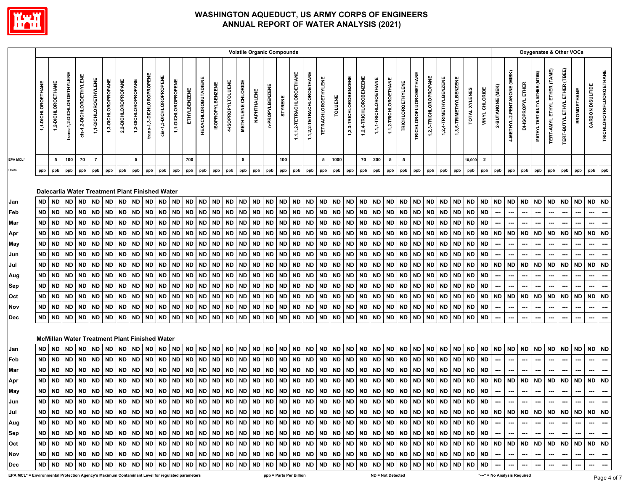

|                                                                                                 |                    |                    |                                                      |                          |                      |                     |                     |                     |                           |                         |                     |                     |                            |                         |                    |                           |             |                 | <b>Volatile Organic Compounds</b> |                           |                           |                            |           |                        |                        |                       |                          |                   |                        |                        |                        |                        |               |                |                          |                             |                              | <b>Oxygenates &amp; Other VOCs</b> |                                     |                               |                    |                  |                                 |
|-------------------------------------------------------------------------------------------------|--------------------|--------------------|------------------------------------------------------|--------------------------|----------------------|---------------------|---------------------|---------------------|---------------------------|-------------------------|---------------------|---------------------|----------------------------|-------------------------|--------------------|---------------------------|-------------|-----------------|-----------------------------------|---------------------------|---------------------------|----------------------------|-----------|------------------------|------------------------|-----------------------|--------------------------|-------------------|------------------------|------------------------|------------------------|------------------------|---------------|----------------|--------------------------|-----------------------------|------------------------------|------------------------------------|-------------------------------------|-------------------------------|--------------------|------------------|---------------------------------|
|                                                                                                 | 1,1-DICHLOROETHANE | 1,2-DICHLOROETHANE | trans-1,2-DICHLOROETHYLENE                           | cis-1,2-DICHLOROETHYLENE | 1,1-DICHLOROETHYLENE | 1,3-DICHLOROPROPANE | 2,2-DICHLOROPROPANE | 1,2-DICHLOROPROPANE | trans-1,3-DICHLOROPROPENE | cis-1,3-DICHLOROPROPENE | 1,1-DICHLOROPROPENE | <b>ETHYLBENZENE</b> | <b>HEXACHLOROBUTADIENE</b> | <b>ISOPROPYLBENZENE</b> | 4-ISOPROPYLTOLUENE | <b>METHYLENE CHLORIDE</b> | NAPHTHALENE | n-PROPYLBENZENE | <b>STYRENE</b>                    | 1,1,1,2-TETRACHLOROETHANE | 1,1,2,2-TETRACHLOROETHANE | <b>TETRACHLOROETHYLENE</b> | TOLUENE   | 1,2,3-TRICHLOROBENZENE | 1,2,4-TRICHLOROBENZENE | 1,1,1-TRICHLOROETHANE | 1,1,2-TRICHLOROETHANE    | TRICHLOROETHYLENE | TRICHLOROFLUOROMETHANE | 1,2,3-TRICHLOROPROPANE | 1,2,4-TRIMETHYLBENZENE | 1,3,5-TRIMETHYLBENZENE | TOTAL XYLENES | VINYL CHLORIDE | 2-BUTANONE (MEK)         | 4-METHYL-2-PENTANONE (MIBK) | DI-ISOPROPYL ETHER           | METHYL TERT-BUTYL ETHER (MTBE)     | <b>TERT-AMYL ETHYL ETHER (TAME)</b> | TERT-BUTYL ETHYL ETHER (TBEE) | <b>BROMOETHANE</b> | CARBON DISULFIDE | <b>TRICHLOROTRIFLUOROETHANE</b> |
| <b>EPA MCL*</b>                                                                                 |                    | 5                  | 100                                                  | 70                       | $\overline{7}$       |                     |                     | 5                   |                           |                         |                     | 700                 |                            |                         |                    | 5                         |             |                 | 100                               |                           |                           | $5^{\circ}$                | 1000      |                        | 70                     | 200                   | $5\phantom{.0}$          | 5                 |                        |                        |                        |                        | 10,000        | $\overline{2}$ |                          |                             |                              |                                    |                                     |                               |                    |                  |                                 |
| <b>Units</b>                                                                                    | ppb                | ppb                | ppb                                                  | ppb                      | ppb                  | ppb                 | ppb                 | ppb                 | ppb                       | ppb                     | ppb                 | ppb                 | ppb                        | ppb                     | ppb                | ppb                       | ppb         | ppb             | ppb                               | ppb                       | ppb                       | ppb                        | ppb       | ppb                    | ppb                    | ppb                   | ppb                      | ppb               | ppb                    | ppb                    | ppb                    | ppb                    | ppb           | ppb            | ppb                      | ppb                         | ppb                          | ppb                                | ppb                                 | ppb                           | ppb                | ppb              | ppb                             |
|                                                                                                 |                    |                    | Dalecarlia Water Treatment Plant Finished Water      |                          |                      |                     |                     |                     |                           |                         |                     |                     |                            |                         |                    |                           |             |                 |                                   |                           |                           |                            |           |                        |                        |                       |                          |                   |                        |                        |                        |                        |               |                |                          |                             |                              |                                    |                                     |                               |                    |                  |                                 |
| Jan                                                                                             | <b>ND</b>          | <b>ND</b>          | <b>ND</b>                                            | <b>ND</b>                | <b>ND</b>            | <b>ND</b>           | <b>ND</b>           | ND                  | ND                        | <b>ND</b>               | <b>ND</b>           | <b>ND</b>           | <b>ND</b>                  | <b>ND</b>               | <b>ND</b>          | <b>ND</b>                 | <b>ND</b>   | <b>ND</b>       | <b>ND</b>                         | <b>ND</b>                 | <b>ND</b>                 | <b>ND</b>                  | <b>ND</b> | <b>ND</b>              | <b>ND</b>              | <b>ND</b>             | <b>ND</b>                | $\sf ND$          | <b>ND</b>              | <b>ND</b>              | <b>ND</b>              | <b>ND</b>              | <b>ND</b>     | <b>ND</b>      | <b>ND</b>                | <b>ND</b>                   |                              | ND ND                              | <b>ND</b>                           | <b>ND</b>                     | <b>ND</b>          | <b>ND</b>        | <b>ND</b>                       |
| Feb                                                                                             | <b>ND</b>          | <b>ND</b>          | <b>ND</b>                                            | <b>ND</b>                | <b>ND</b>            | <b>ND</b>           | <b>ND</b>           | <b>ND</b>           | <b>ND</b>                 | <b>ND</b>               | <b>ND</b>           | <b>ND</b>           | <b>ND</b>                  | <b>ND</b>               | <b>ND</b>          | <b>ND</b>                 | <b>ND</b>   | <b>ND</b>       | <b>ND</b>                         | <b>ND</b>                 | <b>ND</b>                 | <b>ND</b>                  | <b>ND</b> | <b>ND</b>              | <b>ND</b>              | <b>ND</b>             | <b>ND</b>                | <b>ND</b>         | <b>ND</b>              | <b>ND</b>              | <b>ND</b>              | <b>ND</b>              | <b>ND</b>     | <b>ND</b>      |                          |                             |                              |                                    |                                     |                               |                    |                  | ---                             |
| Mar                                                                                             | <b>ND</b>          | <b>ND</b>          | <b>ND</b>                                            | <b>ND</b>                | <b>ND</b>            | <b>ND</b>           | <b>ND</b>           | ND                  | <b>ND</b>                 | <b>ND</b>               | <b>ND</b>           | <b>ND</b>           | <b>ND</b>                  | <b>ND</b>               | <b>ND</b>          | <b>ND</b>                 | <b>ND</b>   | <b>ND</b>       | <b>ND</b>                         | <b>ND</b>                 | <b>ND</b>                 | <b>ND</b>                  | <b>ND</b> | <b>ND</b>              | <b>ND</b>              | <b>ND</b>             | <b>ND</b>                | <b>ND</b>         | <b>ND</b>              | <b>ND</b>              | <b>ND</b>              | <b>ND</b>              | <b>ND</b>     | <b>ND</b>      |                          |                             |                              |                                    |                                     |                               |                    |                  |                                 |
| Apr                                                                                             | <b>ND</b>          | <b>ND</b>          | <b>ND</b>                                            | <b>ND</b>                | <b>ND</b>            | <b>ND</b>           | <b>ND</b>           | ND                  | <b>ND</b>                 | <b>ND</b>               | <b>ND</b>           | <b>ND</b>           | <b>ND</b>                  | <b>ND</b>               | <b>ND</b>          | ND                        | <b>ND</b>   | <b>ND</b>       | <b>ND</b>                         | <b>ND</b>                 | <b>ND</b>                 | <b>ND</b>                  | <b>ND</b> | <b>ND</b>              | ND                     | <b>ND</b>             | <b>ND</b>                | ND                | <b>ND</b>              | <b>ND</b>              | <b>ND</b>              | <b>ND</b>              | <b>ND</b>     | <b>ND</b>      | <b>ND</b>                | <b>ND</b>                   | <b>ND</b>                    | <b>ND</b>                          | <b>ND</b>                           | <b>ND</b>                     | <b>ND</b>          | <b>ND</b>        | <b>ND</b>                       |
| May                                                                                             | <b>ND</b>          | <b>ND</b>          | <b>ND</b>                                            | <b>ND</b>                | <b>ND</b>            | <b>ND</b>           | <b>ND</b>           | ND                  | <b>ND</b>                 | <b>ND</b>               | <b>ND</b>           | <b>ND</b>           | <b>ND</b>                  | <b>ND</b>               | <b>ND</b>          | <b>ND</b>                 | <b>ND</b>   | <b>ND</b>       | <b>ND</b>                         | <b>ND</b>                 | <b>ND</b>                 | <b>ND</b>                  | <b>ND</b> | <b>ND</b>              | <b>ND</b>              | <b>ND</b>             | <b>ND</b>                | <b>ND</b>         | <b>ND</b>              | <b>ND</b>              | <b>ND</b>              | <b>ND</b>              | <b>ND</b>     | <b>ND</b>      |                          |                             |                              |                                    |                                     |                               |                    |                  | ---                             |
| Jun                                                                                             | <b>ND</b>          | ND                 | <b>ND</b>                                            | <b>ND</b>                | <b>ND</b>            | <b>ND</b>           | <b>ND</b>           | ND                  | <b>ND</b>                 | <b>ND</b>               | <b>ND</b>           | <b>ND</b>           | <b>ND</b>                  | <b>ND</b>               | <b>ND</b>          | <b>ND</b>                 | <b>ND</b>   | ND              | <b>ND</b>                         | <b>ND</b>                 | <b>ND</b>                 | <b>ND</b>                  | <b>ND</b> | <b>ND</b>              | <b>ND</b>              | <b>ND</b>             | <b>ND</b>                | <b>ND</b>         | <b>ND</b>              | <b>ND</b>              | <b>ND</b>              | <b>ND</b>              | <b>ND</b>     | <b>ND</b>      | ---                      | ---                         | ---                          |                                    | ---                                 | ---                           | ---                | ---              | ---                             |
| Jul                                                                                             | <b>ND</b>          | <b>ND</b>          | <b>ND</b>                                            | <b>ND</b>                | <b>ND</b>            | <b>ND</b>           | <b>ND</b>           | <b>ND</b>           | <b>ND</b>                 | <b>ND</b>               | <b>ND</b>           | <b>ND</b>           | <b>ND</b>                  | <b>ND</b>               | <b>ND</b>          | <b>ND</b>                 | <b>ND</b>   | <b>ND</b>       | <b>ND</b>                         | <b>ND</b>                 | <b>ND</b>                 | <b>ND</b>                  | <b>ND</b> | <b>ND</b>              | ND                     | <b>ND</b>             | <b>ND</b>                | <b>ND</b>         | <b>ND</b>              | <b>ND</b>              | <b>ND</b>              | <b>ND</b>              | <b>ND</b>     | ND ND          |                          | <b>ND</b>                   | ND                           | <b>ND</b>                          | <b>ND</b>                           | <b>ND</b>                     | <b>ND</b>          | <b>ND</b>        | <b>ND</b>                       |
| Aug                                                                                             | <b>ND</b>          | <b>ND</b>          | <b>ND</b>                                            | <b>ND</b>                | <b>ND</b>            | <b>ND</b>           | <b>ND</b>           | ND                  | <b>ND</b>                 | <b>ND</b>               | <b>ND</b>           | <b>ND</b>           | <b>ND</b>                  | <b>ND</b>               | <b>ND</b>          | ND                        | <b>ND</b>   | <b>ND</b>       | <b>ND</b>                         | <b>ND</b>                 | <b>ND</b>                 | <b>ND</b>                  | <b>ND</b> | <b>ND</b>              | <b>ND</b>              | <b>ND</b>             | <b>ND</b>                | <b>ND</b>         | <b>ND</b>              | <b>ND</b>              | <b>ND</b>              | <b>ND</b>              | <b>ND</b>     | <b>ND</b>      |                          |                             | ---                          | ---                                | ---                                 | ---                           |                    | ---              | ---                             |
| Sep                                                                                             | <b>ND</b>          | ND                 | <b>ND</b>                                            | <b>ND</b>                | <b>ND</b>            | <b>ND</b>           | <b>ND</b>           | ND                  | <b>ND</b>                 | <b>ND</b>               | <b>ND</b>           | <b>ND</b>           | <b>ND</b>                  | <b>ND</b>               | <b>ND</b>          | ND                        | <b>ND</b>   | <b>ND</b>       | <b>ND</b>                         | ND                        | <b>ND</b>                 | <b>ND</b>                  | <b>ND</b> | <b>ND</b>              | ND                     | <b>ND</b>             | <b>ND</b>                | <b>ND</b>         | <b>ND</b>              | <b>ND</b>              | <b>ND</b>              | <b>ND</b>              | <b>ND</b>     | <b>ND</b>      |                          |                             | ---                          |                                    | ---                                 | ---                           |                    |                  | ---                             |
| Oct                                                                                             | <b>ND</b>          | ND                 | <b>ND</b>                                            | <b>ND</b>                | <b>ND</b>            | <b>ND</b>           | <b>ND</b>           | ND                  | <b>ND</b>                 | <b>ND</b>               | <b>ND</b>           | <b>ND</b>           | <b>ND</b>                  | <b>ND</b>               | <b>ND</b>          | ND                        | <b>ND</b>   | <b>ND</b>       | <b>ND</b>                         | <b>ND</b>                 | <b>ND</b>                 | <b>ND</b>                  | <b>ND</b> | <b>ND</b>              | <b>ND</b>              | <b>ND</b>             | <b>ND</b>                | <b>ND</b>         | <b>ND</b>              | <b>ND</b>              | <b>ND</b>              | <b>ND</b>              | <b>ND</b>     | <b>ND</b>      | <b>ND</b>                | <b>ND</b>                   | <b>ND</b>                    | <b>ND</b>                          | <b>ND</b>                           | <b>ND</b>                     | <b>ND</b>          | <b>ND</b>        | <b>ND</b>                       |
| Nov                                                                                             | <b>ND</b>          | ND                 | <b>ND</b>                                            | <b>ND</b>                | <b>ND</b>            | <b>ND</b>           | <b>ND</b>           | <b>ND</b>           | <b>ND</b>                 | <b>ND</b>               | <b>ND</b>           | <b>ND</b>           | <b>ND</b>                  | <b>ND</b>               | <b>ND</b>          | <b>ND</b>                 | <b>ND</b>   | ND              | <b>ND</b>                         | <b>ND</b>                 | <b>ND</b>                 | <b>ND</b>                  | <b>ND</b> | <b>ND</b>              | <b>ND</b>              | <b>ND</b>             | <b>ND</b>                | <b>ND</b>         | <b>ND</b>              | <b>ND</b>              | <b>ND</b>              | <b>ND</b>              | <b>ND</b>     | <b>ND</b>      | ---                      | ---                         | ---                          | ---                                | ---                                 | ---                           | ---                | ---              | ---                             |
| Dec                                                                                             | <b>ND</b>          | <b>ND</b>          | <b>ND</b>                                            | <b>ND</b>                | <b>ND</b>            | <b>ND</b>           | <b>ND</b>           | ND                  | <b>ND</b>                 | <b>ND</b>               | <b>ND</b>           | <b>ND</b>           | <b>ND</b>                  | <b>ND</b>               | <b>ND</b>          | <b>ND</b>                 | <b>ND</b>   | <b>ND</b>       | <b>ND</b>                         | <b>ND</b>                 | <b>ND</b>                 | <b>ND</b>                  | <b>ND</b> | <b>ND</b>              | <b>ND</b>              | <b>ND</b>             | <b>ND</b>                | <b>ND</b>         | <b>ND</b>              | <b>ND</b>              | <b>ND</b>              | <b>ND</b>              | <b>ND</b>     | <b>ND</b>      |                          | ---                         | ---                          |                                    |                                     | ---                           |                    | ---              | ---                             |
|                                                                                                 |                    |                    | <b>McMillan Water Treatment Plant Finished Water</b> |                          |                      |                     |                     |                     |                           |                         |                     |                     |                            |                         |                    |                           |             |                 |                                   |                           |                           |                            |           |                        |                        |                       |                          |                   |                        |                        |                        |                        |               |                |                          |                             |                              |                                    |                                     |                               |                    |                  |                                 |
| Jan                                                                                             | <b>ND</b>          | <b>ND</b>          | <b>ND</b>                                            | <b>ND</b>                | <b>ND</b>            | <b>ND</b>           | <b>ND</b>           | <b>ND</b>           | <b>ND</b>                 | ND                      | ND                  | <b>ND</b>           | ND                         | <b>ND</b>               | ND                 | ND                        | <b>ND</b>   | <b>ND</b>       | ND                                | ND                        | ND                        | ND                         | <b>ND</b> | <b>ND</b>              | <b>ND</b>              | <b>ND</b>             | <b>ND</b>                | ND                | ND.                    | <b>ND</b>              | <b>ND</b>              | ND                     | <b>ND</b>     | <b>ND</b>      | ND                       | <b>ND</b>                   | ND                           | <b>ND</b>                          | <b>ND</b>                           | ND                            | <b>ND</b>          | <b>ND</b>        | <b>ND</b>                       |
| Feb                                                                                             | <b>ND</b>          | <b>ND</b>          | <b>ND</b>                                            | <b>ND</b>                | <b>ND</b>            | <b>ND</b>           | <b>ND</b>           | ND                  | <b>ND</b>                 | <b>ND</b>               | <b>ND</b>           | <b>ND</b>           | <b>ND</b>                  | <b>ND</b>               | <b>ND</b>          | <b>ND</b>                 | <b>ND</b>   | <b>ND</b>       | <b>ND</b>                         | <b>ND</b>                 | <b>ND</b>                 | <b>ND</b>                  | <b>ND</b> | <b>ND</b>              | <b>ND</b>              | <b>ND</b>             | <b>ND</b>                | <b>ND</b>         | <b>ND</b>              | <b>ND</b>              | <b>ND</b>              | <b>ND</b>              | <b>ND</b>     | <b>ND</b>      | ---                      | ---                         | ---                          | ---                                | ---                                 | ---                           | ---                | ---              |                                 |
| Mar                                                                                             | <b>ND</b>          | <b>ND</b>          | <b>ND</b>                                            | <b>ND</b>                | <b>ND</b>            | <b>ND</b>           | <b>ND</b>           | <b>ND</b>           | <b>ND</b>                 | <b>ND</b>               | <b>ND</b>           | <b>ND</b>           | $\mathsf{ND}$              | <b>ND</b>               | <b>ND</b>          | <b>ND</b>                 | <b>ND</b>   | <b>ND</b>       | <b>ND</b>                         | <b>ND</b>                 | <b>ND</b>                 | <b>ND</b>                  | <b>ND</b> | <b>ND</b>              | <b>ND</b>              | <b>ND</b>             | <b>ND</b>                | <b>ND</b>         | <b>ND</b>              | <b>ND</b>              | <b>ND</b>              | <b>ND</b>              | <b>ND</b>     | <b>ND</b>      |                          |                             |                              |                                    |                                     |                               |                    |                  |                                 |
| Apr                                                                                             | <b>ND</b>          | <b>ND</b>          | <b>ND</b>                                            | <b>ND</b>                | <b>ND</b>            | <b>ND</b>           | <b>ND</b>           | ND                  | <b>ND</b>                 | <b>ND</b>               | <b>ND</b>           | <b>ND</b>           | $\mathsf{ND}$              | <b>ND</b>               | <b>ND</b>          | ND                        | <b>ND</b>   | <b>ND</b>       | <b>ND</b>                         | <b>ND</b>                 | <b>ND</b>                 | <b>ND</b>                  | <b>ND</b> | <b>ND</b>              | <b>ND</b>              | <b>ND</b>             | <b>ND</b>                | <b>ND</b>         | <b>ND</b>              | <b>ND</b>              | <b>ND</b>              | <b>ND</b>              | <b>ND</b>     | ND ND          |                          | <b>ND</b>                   |                              | ND ND                              | <b>ND</b>                           | <b>ND</b>                     | <b>ND</b>          | <b>ND</b>        | <b>ND</b>                       |
| May                                                                                             | <b>ND</b>          | <b>ND</b>          | <b>ND</b>                                            | <b>ND</b>                | <b>ND</b>            | <b>ND</b>           | <b>ND</b>           | ND                  | <b>ND</b>                 | <b>ND</b>               | <b>ND</b>           | <b>ND</b>           | <b>ND</b>                  | <b>ND</b>               | <b>ND</b>          | <b>ND</b>                 | <b>ND</b>   | <b>ND</b>       | <b>ND</b>                         | <b>ND</b>                 | <b>ND</b>                 | <b>ND</b>                  | <b>ND</b> | <b>ND</b>              | <b>ND</b>              | <b>ND</b>             | <b>ND</b>                | <b>ND</b>         | <b>ND</b>              | <b>ND</b>              | <b>ND</b>              | <b>ND</b>              | <b>ND</b>     | <b>ND</b>      | ---                      | ---                         | ---                          | ---                                | ---                                 | ---                           | ---                |                  |                                 |
| Jun                                                                                             | <b>ND</b>          | <b>ND</b>          | <b>ND</b>                                            | <b>ND</b>                | <b>ND</b>            | <b>ND</b>           | <b>ND</b>           | <b>ND</b>           | <b>ND</b>                 | <b>ND</b>               | <b>ND</b>           | <b>ND</b>           | <b>ND</b>                  | <b>ND</b>               | <b>ND</b>          | <b>ND</b>                 | <b>ND</b>   | <b>ND</b>       | <b>ND</b>                         | <b>ND</b>                 | <b>ND</b>                 | <b>ND</b>                  | <b>ND</b> | <b>ND</b>              | <b>ND</b>              | <b>ND</b>             | <b>ND</b>                | <b>ND</b>         | <b>ND</b>              | <b>ND</b>              | <b>ND</b>              | <b>ND</b>              | <b>ND</b>     | <b>ND</b>      | $\hspace{0.05cm} \cdots$ | ---                         | ---                          | ---                                |                                     | ---                           |                    |                  |                                 |
| Jul                                                                                             | ND                 | ND                 | <b>ND</b>                                            |                          |                      | ND ND ND            | <b>ND</b>           |                     | ND ND                     | <b>ND</b>               | <b>ND</b>           | <b>ND</b>           | <b>ND</b>                  | <b>ND</b>               | <b>ND</b>          | ND                        |             | ND ND           | <b>ND</b>                         | <b>ND</b>                 | <b>ND</b>                 |                            | ND ND     | <b>ND</b>              | <b>ND</b>              | <b>ND</b>             | <b>ND</b>                | ND                | <b>ND</b>              | <b>ND</b>              | ND                     | <b>ND</b>              | <b>ND</b>     | <b>ND</b>      | <b>ND</b>                | <b>ND</b>                   | <b>ND</b>                    | <b>ND</b>                          | <b>ND</b>                           | <b>ND</b>                     | <b>ND</b>          | <b>ND</b>        | <b>ND</b>                       |
| Aug                                                                                             | <b>ND</b>          | <b>ND</b>          | <b>ND</b>                                            | <b>ND</b>                |                      | ND ND               | <b>ND</b>           |                     | ND ND                     | <b>ND</b>               | <b>ND</b>           | <b>ND</b>           | <b>ND</b>                  | <b>ND</b>               | <b>ND</b>          | <b>ND</b>                 |             | ND ND           | ND                                | <b>ND</b>                 | <b>ND</b>                 |                            | ND ND     | <b>ND</b>              | <b>ND</b>              |                       | ND ND                    | ND                | <b>ND</b>              | <b>ND</b>              | ND ND                  |                        | <b>ND</b>     | <b>ND</b>      |                          |                             |                              |                                    |                                     |                               |                    |                  |                                 |
| Sep                                                                                             | <b>ND</b>          | <b>ND</b>          | <b>ND</b>                                            | <b>ND</b>                |                      | ND ND               | <b>ND</b>           |                     | ND ND                     | <b>ND</b>               | <b>ND</b>           | <b>ND</b>           | <b>ND</b>                  | <b>ND</b>               | <b>ND</b>          | <b>ND</b>                 |             |                 | ND ND ND                          | <b>ND</b>                 | <b>ND</b>                 | <b>ND</b>                  | <b>ND</b> | <b>ND</b>              | <b>ND</b>              | ND                    | <b>ND</b>                | <b>ND</b>         | <b>ND</b>              | <b>ND</b>              | ND ND                  |                        | <b>ND</b>     | <b>ND</b>      |                          |                             |                              |                                    | ---                                 | ---                           |                    | ---              | ---                             |
| Oct                                                                                             | <b>ND</b>          | ND.                | <b>ND</b>                                            | ND                       | <b>ND</b>            | ND                  | <b>ND</b>           |                     | ND ND                     | <b>ND</b>               | <b>ND</b>           | <b>ND</b>           | <b>ND</b>                  | <b>ND</b>               | <b>ND</b>          | <b>ND</b>                 | <b>ND</b>   | ND              | <b>ND</b>                         | ND                        | <b>ND</b>                 | <b>ND</b>                  | <b>ND</b> | <b>ND</b>              | <b>ND</b>              | <b>ND</b>             | <b>ND</b>                | <b>ND</b>         | <b>ND</b>              | <b>ND</b>              | ND                     | <b>ND</b>              | <b>ND</b>     |                | ND ND                    | <b>ND</b>                   |                              | ND ND                              | <b>ND</b>                           | ND   ND                       |                    | <b>ND</b>        | <b>ND</b>                       |
| Nov                                                                                             | ND                 | ND.                | ND                                                   | ND                       | <b>ND</b>            | ND                  | <b>ND</b>           | ND                  | ND                        | <b>ND</b>               | ND                  | <b>ND</b>           | <b>ND</b>                  | <b>ND</b>               | ND                 | ND                        | ND          | <b>ND</b>       | <b>ND</b>                         | ND                        | ND                        | ND.                        | <b>ND</b> | ND                     | <b>ND</b>              | <b>ND</b>             | ND                       | <b>ND</b>         | ND.                    | ND                     | <b>ND</b>              | ND                     | <b>ND</b>     | <b>ND</b>      |                          |                             | ---                          |                                    |                                     | ---                           |                    | ---              | ---                             |
| Dec                                                                                             | <b>ND</b>          | ND                 | ND                                                   | <b>ND</b>                | <b>ND</b>            | <b>ND</b>           | <b>ND</b>           |                     | ND ND                     | <b>ND</b>               | <b>ND</b>           | <b>ND</b>           | <b>ND</b>                  | <b>ND</b>               | <b>ND</b>          | ND                        | <b>ND</b>   | ND              | <b>ND</b>                         | <b>ND</b>                 | <b>ND</b>                 | <b>ND</b>                  | <b>ND</b> | <b>ND</b>              | <b>ND</b>              | <b>ND</b>             | <b>ND</b>                | <b>ND</b>         | <b>ND</b>              |                        | ND ND ND               |                        | <b>ND</b>     | <b>ND</b>      |                          | ---                         | ---                          | ---                                | ---                                 | ---                           | ---                | ---              | ---                             |
| EPA MCL* = Environmental Protection Agency's Maximum Contaminant Level for regulated parameters |                    |                    |                                                      |                          |                      |                     |                     |                     |                           |                         |                     |                     |                            |                         |                    |                           |             |                 | ppb = Parts Per Billion           |                           |                           |                            |           |                        |                        |                       | <b>ND = Not Detected</b> |                   |                        |                        |                        |                        |               |                |                          |                             | "---" = No Analysis Required |                                    |                                     |                               |                    |                  | $P$ ane $\Lambda$               |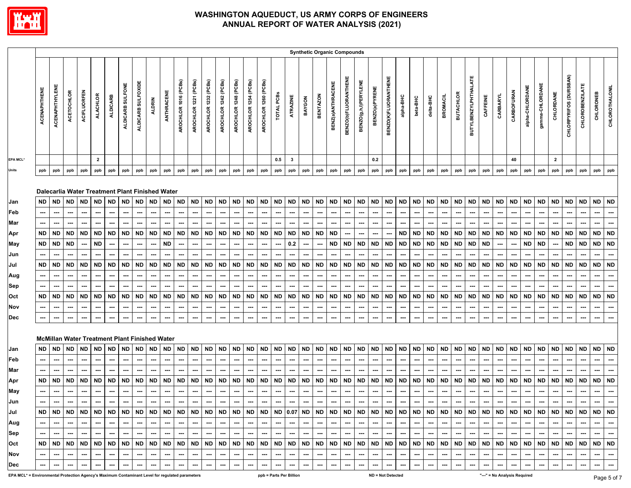

|                                                                                                 |                          |                          |                                                              |             |                          |                          |                          |                          |                          |                          |                          |                          |                          |                          |                          |                          |                          |                          |                          |                          |                 | <b>Synthetic Organic Compounds</b> |                             |                          |                          |                          |                          |                          |           |                          |                          |                             |                          |                          |                              |                 |                 |                          |                          |                          |                          |                                         |
|-------------------------------------------------------------------------------------------------|--------------------------|--------------------------|--------------------------------------------------------------|-------------|--------------------------|--------------------------|--------------------------|--------------------------|--------------------------|--------------------------|--------------------------|--------------------------|--------------------------|--------------------------|--------------------------|--------------------------|--------------------------|--------------------------|--------------------------|--------------------------|-----------------|------------------------------------|-----------------------------|--------------------------|--------------------------|--------------------------|--------------------------|--------------------------|-----------|--------------------------|--------------------------|-----------------------------|--------------------------|--------------------------|------------------------------|-----------------|-----------------|--------------------------|--------------------------|--------------------------|--------------------------|-----------------------------------------|
|                                                                                                 | ACENAPHTHENE             | <b>ACENAPHTHYLENE</b>    | ACETOCHLOR                                                   | ACIFLUORFEN | <b>ALACHLOR</b>          | <b>ALDICARB</b>          | ALDICARB SULFONE         | ALDICARB SULFOXIDE       | <b>ALDRIN</b>            | ANTHRACENE               | AROCHLOR 1016 (PCBs)     | AROCHLOR 1221 (PCBs)     | AROCHLOR 1232 (PCBs)     | AROCHLOR 1242 (PCBs)     | AROCHLOR 1248 (PCBs)     | AROCHLOR 1254 (PCBs)     | AROCHLOR 1260 (PCBs)     | TOTAL PCBs               | ATRAZINE                 | BAYGON                   | <b>BENTAZON</b> | BENZ(a)ANTHRACENE                  | <b>BENZO(b)FLUORANTHENE</b> | BENZO(g,h,l)PERYLENE     | BENZO(a)PYRENE           | BENZO(K)FLUORANTHENE     | alpha-BHC                | beta-BHC                 | delta-BHC | <b>BROMACIL</b>          | <b>BUTACHLOR</b>         | <b>BUTYLBENZYLPHTHALATE</b> | CAFFEINE                 | CARBARYL                 | <b>CARBOFURAN</b>            | alpha-CHLORDANE | gamma-CHLORDANE | CHLORDANE                | CHLORPYRIFOS (DURSBAN)   | <b>CHLOROBENZILATE</b>   | CHLORONEB                | CHLOROTHALONIL                          |
| EPA MCL*                                                                                        |                          |                          |                                                              |             | $\overline{2}$           |                          |                          |                          |                          |                          |                          |                          |                          |                          |                          |                          |                          | 0.5                      | $\mathbf{3}$             |                          |                 |                                    |                             |                          | 0.2                      |                          |                          |                          |           |                          |                          |                             |                          |                          | 40                           |                 |                 | $\overline{2}$           |                          |                          |                          |                                         |
| Units                                                                                           | ppb                      | ppb                      | ppb                                                          | ppb         | ppb                      | ppb                      | ppb                      | ppb                      | ppb                      | ppb                      | ppb                      | ppb                      | ppb                      | ppb                      | ppb                      | ppb                      | ppb                      | ppb                      | ppb                      | ppb                      | ppb             | ppb                                | ppb                         | ppb                      | ppb                      | ppb                      | ppb                      | ppb                      | ppb       | ppb                      | ppb                      | ppb                         | ppb                      | ppb                      | ppb                          | ppb             | ppb             | ppb                      | ppb                      | ppb                      | ppb                      | ppb                                     |
| Jan                                                                                             | ND.                      | <b>ND</b>                | Dalecarlia Water Treatment Plant Finished Water<br><b>ND</b> | <b>ND</b>   | <b>ND</b>                | <b>ND</b>                | <b>ND</b>                | <b>ND</b>                | <b>ND</b>                | <b>ND</b>                | <b>ND</b>                | <b>ND</b>                | <b>ND</b>                | <b>ND</b>                | <b>ND</b>                | <b>ND</b>                | <b>ND</b>                | <b>ND</b>                | <b>ND</b>                | <b>ND</b>                | <b>ND</b>       | <b>ND</b>                          | <b>ND</b>                   | <b>ND</b>                | ND ND                    |                          | <b>ND</b>                | <b>ND</b>                | ND        | <b>ND</b>                | <b>ND</b>                | <b>ND</b>                   | ND                       | <b>ND</b>                | <b>ND</b>                    | <b>ND</b>       | <b>ND</b>       | <b>ND</b>                | ND ND                    |                          | <b>ND</b>                | ND                                      |
| Feb                                                                                             | ---                      | ---                      | ---                                                          | ---         | ---                      | ---                      | ---                      | ---                      | $\overline{a}$           | ---                      | ---                      | ---                      | ---                      | ---                      | ---                      | ---                      | ---                      | ---                      | ---                      | ---                      |                 | ---                                | ---                         | ---                      | ---                      |                          | ---                      | ---                      | ---       | ---                      | ---                      | ---                         | $\overline{\phantom{a}}$ | ---                      | ---                          | ---             | ---             | ---                      | ---                      | ---                      | ---                      |                                         |
| Mar                                                                                             |                          |                          |                                                              |             |                          |                          |                          |                          |                          |                          |                          |                          |                          |                          |                          |                          |                          |                          |                          |                          |                 |                                    |                             | ---                      | ---                      |                          |                          |                          |           |                          |                          |                             |                          |                          |                              |                 |                 |                          |                          |                          |                          |                                         |
| Apr                                                                                             | ND                       | <b>ND</b>                | <b>ND</b>                                                    | <b>ND</b>   | <b>ND</b>                | <b>ND</b>                | <b>ND</b>                | ND ND                    |                          | <b>ND</b>                | <b>ND</b>                | <b>ND</b>                | <b>ND</b>                | <b>ND</b>                | <b>ND</b>                | ND                       | <b>ND</b>                | <b>ND</b>                | <b>ND</b>                | <b>ND</b>                | <b>ND</b>       | <b>ND</b>                          | ---                         | $\hspace{0.05cm} \cdots$ | ---                      | ---                      | <b>ND</b>                | <b>ND</b>                | <b>ND</b> | <b>ND</b>                | <b>ND</b>                | $\sf ND$                    | <b>ND</b>                | <b>ND</b>                | <b>ND</b>                    | <b>ND</b>       | <b>ND</b>       | <b>ND</b>                | <b>ND</b>                | <b>ND</b>                | <b>ND</b>                | <b>ND</b>                               |
| May                                                                                             | <b>ND</b>                | <b>ND</b>                | <b>ND</b>                                                    | ---         | <b>ND</b>                | ---                      | ---                      | ---                      | ---                      | <b>ND</b>                | ---                      | $\hspace{0.05cm} \cdots$ | ---                      | ---                      | ---                      | ---                      | ---                      | ---                      | 0.2                      | $\ddotsc$                | ---             | <b>ND</b>                          | <b>ND</b>                   | <b>ND</b>                | <b>ND</b>                | <b>ND</b>                | <b>ND</b>                | <b>ND</b>                | <b>ND</b> | <b>ND</b>                | <b>ND</b>                | <b>ND</b>                   | <b>ND</b>                | ---                      | ---                          | <b>ND</b>       | <b>ND</b>       | $\hspace{0.05cm} \cdots$ | <b>ND</b>                | <b>ND</b>                | <b>ND</b>                | <b>ND</b>                               |
| Jun                                                                                             |                          |                          | ---                                                          | ---         | ---                      | ---                      | $\overline{\phantom{a}}$ | ---                      | $\hspace{0.05cm} \cdots$ | ---                      | ---                      | $\hspace{0.05cm} \cdots$ | $\hspace{0.05cm} \cdots$ | $\hspace{0.05cm} \cdots$ | ---                      | $\hspace{0.05cm} \cdots$ | $\hspace{0.05cm} \cdots$ | ---                      | $\hspace{0.05cm} \cdots$ | $\sim$                   | ---             | $\hspace{0.05cm} \cdots$           | ---                         | ---                      | ---                      | ---                      | $\hspace{0.05cm} \cdots$ | $\sim$                   | ---       | ---                      | ---                      | ---                         | $\sim$                   | ---                      | $\sim$                       | ---             | ---             | $\cdots$                 | ---                      | $\sim$                   | ---                      | ---                                     |
| Jul                                                                                             | ND                       | <b>ND</b>                | <b>ND</b>                                                    | <b>ND</b>   | <b>ND</b>                | <b>ND</b>                | <b>ND</b>                | <b>ND</b>                | <b>ND</b>                | <b>ND</b>                | <b>ND</b>                | <b>ND</b>                | <b>ND</b>                | <b>ND</b>                | <b>ND</b>                | <b>ND</b>                | <b>ND</b>                | <b>ND</b>                | ND                       | <b>ND</b>                | <b>ND</b>       | <b>ND</b>                          | <b>ND</b>                   | <b>ND</b>                | ND ND                    |                          | <b>ND</b>                | <b>ND</b>                | <b>ND</b> | <b>ND</b>                | <b>ND</b>                | ND ND                       |                          | <b>ND</b>                | <b>ND</b>                    | <b>ND</b>       | <b>ND</b>       | <b>ND</b>                | <b>ND</b>                | <b>ND</b>                | <b>ND</b>                | <b>ND</b>                               |
| Aug                                                                                             |                          |                          |                                                              | ---         | ---                      |                          | $\hspace{0.05cm} \cdots$ |                          |                          | ---                      | ---                      |                          |                          | ---                      |                          |                          | ---                      | ---                      |                          |                          |                 |                                    |                             | ---                      | ---                      |                          |                          | ---                      | ---       |                          | ---                      | ---                         |                          |                          |                              |                 |                 | ---                      |                          |                          |                          | ---                                     |
| Sep                                                                                             | ---                      | $\hspace{0.05cm} \cdots$ | ---                                                          | ---         | ---                      | ---                      | $\hspace{0.05cm} \ldots$ | ---                      | ---                      | ---                      | ---                      | ---                      | $\hspace{0.05cm} \cdots$ | ---                      | ---                      | ---                      | $\hspace{0.05cm} \cdots$ | ---                      | ---                      | $\overline{\phantom{a}}$ | ---             | $\hspace{0.05cm} \cdots$           | ---                         | ---                      | ---                      | ---                      | $\hspace{0.05cm} \cdots$ | $\overline{\phantom{a}}$ | ---       | ---                      | ---                      | ---                         | $\hspace{0.05cm} \cdots$ | ---                      | $\hspace{0.05cm} \cdots$     | ---             | ---             | ---                      | ---                      | ---                      |                          | ---                                     |
| Oct                                                                                             | ND                       | <b>ND</b>                | <b>ND</b>                                                    | <b>ND</b>   | <b>ND</b>                | <b>ND</b>                | <b>ND</b>                | ND                       | ND                       | <b>ND</b>                | <b>ND</b>                | <b>ND</b>                | <b>ND</b>                | <b>ND</b>                | ND ND                    |                          | <b>ND</b>                | <b>ND</b>                | <b>ND</b>                | <b>ND</b>                | <b>ND</b>       | <b>ND</b>                          | <b>ND</b>                   | <b>ND</b>                | <b>ND</b>                | <b>ND</b>                | <b>ND</b>                | <b>ND</b>                | <b>ND</b> | <b>ND</b>                | <b>ND</b>                | <b>ND</b>                   | <b>ND</b>                | <b>ND</b>                | <b>ND</b>                    | <b>ND</b>       | <b>ND</b>       | <b>ND</b>                | <b>ND</b>                | <b>ND</b>                | <b>ND</b>                | <b>ND</b>                               |
| Nov                                                                                             | $\hspace{0.05cm} \cdots$ | $\hspace{0.05cm} \cdots$ | ---                                                          | ---         | ---                      | ---                      | $\sim$                   | ---                      | $\hspace{0.05cm} \cdots$ | ---                      | ---                      | $\hspace{0.05cm} \cdots$ | $\overline{\phantom{a}}$ | ---                      | ---                      | $\hspace{0.05cm} \cdots$ | $\hspace{0.05cm} \cdots$ | ---                      | $\hspace{0.05cm} \cdots$ | $\cdots$                 | ---             | $\hspace{0.05cm} \cdots$           | ---                         | ---                      | ---                      | ---                      | $\hspace{0.05cm} \cdots$ | $\sim$                   | ---       | $\overline{\phantom{a}}$ | ---                      | ---                         | $\sim$                   | ---                      | $\sim$                       | ---             | ---             | ---                      | ---                      | $\sim$                   | ---                      | ---                                     |
| Dec                                                                                             | ---                      | $\hspace{0.05cm} \cdots$ | ---                                                          | ---         | ---                      | ---                      | $\overline{a}$           | ---                      | $\sim$                   | ---                      | ---                      | ---                      | ---                      | ---                      | ---                      | $\hspace{0.05cm} \cdots$ | ---                      | ---                      | ---                      | ---                      | ---             | $\hspace{0.05cm} \cdots$           | ---                         | ---                      | ---                      | ---                      | ---                      | ---                      | ---       | ---                      | ---                      | ---                         | ---                      | ---                      |                              | ---             | ---             | ---                      |                          | ---                      | ---                      |                                         |
|                                                                                                 |                          |                          | <b>McMillan Water Treatment Plant Finished Water</b>         |             |                          |                          |                          |                          |                          |                          |                          |                          |                          |                          |                          |                          |                          |                          |                          |                          |                 |                                    |                             |                          |                          |                          |                          |                          |           |                          |                          |                             |                          |                          |                              |                 |                 |                          |                          |                          |                          |                                         |
| Jan                                                                                             | ND                       | <b>ND</b>                | <b>ND</b>                                                    | <b>ND</b>   | <b>ND</b>                | <b>ND</b>                | <b>ND</b>                | ND                       | <b>ND</b>                | <b>ND</b>                | ND                       | <b>ND</b>                | <b>ND</b>                | <b>ND</b>                | <b>ND</b>                | <b>ND</b>                | <b>ND</b>                | <b>ND</b>                | <b>ND</b>                | <b>ND</b>                | <b>ND</b>       | <b>ND</b>                          | <b>ND</b>                   | <b>ND</b>                | <b>ND</b>                | <b>ND</b>                | <b>ND</b>                | <b>ND</b>                | <b>ND</b> | <b>ND</b>                | <b>ND</b>                | <b>ND</b>                   | ND                       | <b>ND</b>                | <b>ND</b>                    | <b>ND</b>       | <b>ND</b>       | <b>ND</b>                | <b>ND</b>                | <b>ND</b>                | <b>ND</b>                | <b>ND</b>                               |
| Feb                                                                                             | $\hspace{0.05cm} \cdots$ | $\hspace{0.05cm} \cdots$ | ---                                                          | ---         | ---                      | ---                      | $\overline{\phantom{a}}$ | ---                      | ---                      | ---                      | ---                      | $\overline{\phantom{a}}$ | $\overline{\phantom{a}}$ | $\overline{\phantom{a}}$ | ---                      | ---                      | $\hspace{0.05cm} \cdots$ | ---                      | $\hspace{0.05cm} \cdots$ | $\sim$                   | ---             | ---                                | ---                         | $\hspace{0.05cm} \ldots$ | ---                      | $\overline{\phantom{a}}$ | $\sim$                   | $\hspace{0.05cm} \cdots$ | ---       | $\overline{\phantom{a}}$ | ---                      | ---                         | $\sim$                   | ---                      | $\sim$                       | ---             | ---             | $\cdots$                 | ---                      | $\overline{\phantom{a}}$ | ---                      | ---                                     |
| Mar                                                                                             |                          |                          | ---                                                          | ---         | ---                      | ---                      | $\overline{\phantom{a}}$ | ---                      | ---                      | ---                      | ---                      | ---                      | ---                      | ---                      |                          | ---                      | ---                      | ---                      | ---                      | ---                      | ---             | ---                                | ---                         | ---                      | ---                      | ---                      | ---                      | ---                      | ---       | ---                      | ---                      | ---                         | ---                      | ---                      | ---                          | ---             | ---             | ---                      | ---                      | ---                      | ---                      | ---                                     |
| Apr                                                                                             | ND                       | <b>ND</b>                | <b>ND</b>                                                    | <b>ND</b>   | <b>ND</b>                | <b>ND</b>                | <b>ND</b>                | <b>ND</b>                | ND                       | <b>ND</b>                | ND ND                    |                          | <b>ND</b>                | <b>ND</b>                | ND ND                    |                          | <b>ND</b>                | ND ND                    |                          | <b>ND</b>                | <b>ND</b>       | ND ND                              |                             | <b>ND</b>                | ND ND                    |                          | <b>ND</b>                | <b>ND</b>                | <b>ND</b> | <b>ND</b>                | <b>ND</b>                | ND ND                       |                          | <b>ND</b>                | <b>ND</b>                    | <b>ND</b>       | <b>ND</b>       | <b>ND</b>                | <b>ND</b>                | <b>ND</b>                | <b>ND</b>                | <b>ND</b>                               |
| May                                                                                             | $\hspace{0.05cm} \cdots$ | $\hspace{0.05cm} \cdots$ | ---                                                          | ---         | ---                      | $\hspace{0.05cm} \cdots$ | $\overline{\phantom{a}}$ | ---                      | ---                      | ---                      | $\hspace{0.05cm} \cdots$ | $\hspace{0.05cm} \cdots$ | $\hspace{0.05cm} \cdots$ | $\sim$                   | $\hspace{0.05cm} \cdots$ | ---                      | $\hspace{0.05cm} \cdots$ | ---                      | ---                      | $\sim$                   | $\sim$          | $\overline{\phantom{a}}$           | $\hspace{0.05cm} \cdots$    | $\hspace{0.05cm} \cdots$ | $\hspace{0.05cm} \cdots$ | ---                      | $\hspace{0.05cm} \cdots$ | $\cdots$                 | ---       | $\sim$                   | ---                      | ---                         | $\cdots$                 | $\hspace{0.05cm} \cdots$ | $\sim$                       | ---             | ---             | $\overline{\phantom{a}}$ | ---                      | $\sim$                   | ---                      | ---                                     |
| Jun                                                                                             | ---                      | $\hspace{0.05cm} \cdots$ | ---                                                          | ---         | ---                      | ---                      | ---                      | $\hspace{0.05cm} \cdots$ | ---                      | ---                      | $\hspace{0.05cm} \ldots$ | $\hspace{0.05cm} \cdots$ | ---                      | ---                      | $\hspace{0.05cm} \cdots$ | ---                      | $\hspace{0.05cm} \ldots$ | ---                      | $\hspace{0.05cm} \cdots$ | $\overline{\phantom{a}}$ | ---             | $\hspace{0.05cm} \cdots$           | ---                         | ---                      | $\hspace{0.05cm} \cdots$ | ---                      | $\sim$                   | ---                      | ---       | $\overline{\phantom{a}}$ | ---                      | ---                         | $\hspace{0.05cm} \cdots$ | ---                      | $\hspace{0.05cm} \cdots$     | ---             | ---             | ---                      | ---                      | ---                      | ---                      |                                         |
| Jul                                                                                             | ND I                     | ND                       | <b>ND</b>                                                    | <b>ND</b>   | <b>ND</b>                | <b>ND</b>                | <b>ND</b>                |                          | ND ND                    | <b>ND</b>                |                          | ND ND                    | <b>ND</b>                | <b>ND</b>                |                          | ND ND                    | <b>ND</b>                |                          | ND 0.07 ND               |                          | <b>ND</b>       | <b>ND</b>                          | <b>ND</b>                   | ND                       | ND ND                    |                          | ND                       | ND ND                    |           | <b>ND</b>                | <b>ND</b>                | ND   ND                     |                          | <b>ND</b>                | <b>ND</b>                    | <b>ND</b>       | ND              | <b>ND</b>                | <b>ND</b>                | <b>ND</b>                | ND ND                    |                                         |
| Aug                                                                                             | ---                      | $\hspace{0.05cm} \ldots$ | ---                                                          | ---         | $\overline{\phantom{a}}$ | $\overline{\phantom{a}}$ | $\hspace{0.05cm} \ldots$ | ---                      |                          | ---                      | ---                      | $\sim$                   | $\overline{\phantom{a}}$ | $\hspace{0.05cm} \ldots$ | $\overline{a}$           | ---                      | ---                      | $\overline{\phantom{a}}$ | $\hspace{0.05cm} \ldots$ | $\overline{\phantom{a}}$ | ---             | ---                                | ---                         | ---                      | $\overline{\phantom{a}}$ | $\sim$                   | $\overline{\phantom{a}}$ | $\overline{\phantom{a}}$ | ---       | $\overline{\phantom{a}}$ | ---                      | $\overline{\phantom{a}}$    | $\sim$                   | ---                      | $\overline{a}$               | ---             | ---             | ---                      | $---$                    | $\hspace{0.05cm} \ldots$ | $\cdots$                 | $\overline{\phantom{a}}$                |
| Sep                                                                                             |                          |                          | $\cdots$                                                     | $\cdots$    | $\hspace{0.05cm} \cdots$ | $\hspace{0.05cm} \cdots$ | $\hspace{0.05cm} \cdots$ |                          |                          | $\hspace{0.05cm} \cdots$ | ---                      | $\overline{\phantom{a}}$ | $\sim$                   | $\cdots$                 | $\hspace{0.05cm} \cdots$ | $\hspace{0.05cm} \cdots$ | $\sim$                   | $\cdots$                 | $\cdots$                 | $\cdots$                 | ---             | $\overline{\phantom{a}}$           | $\hspace{0.05cm} \cdots$    | $\sim$                   | $\sim$                   | $\hspace{0.05cm} \ldots$ | $\cdots$                 | $\hspace{0.05cm} \cdots$ | ---       | $\overline{\phantom{a}}$ | $\sim$                   | $\sim$                      | $\sim$                   | $\hspace{0.05cm} \cdots$ | $\overline{\phantom{a}}$     | ---             | ---             | $\hspace{0.05cm} \cdots$ | $\hspace{0.05cm} \cdots$ | $\cdots$                 | $\overline{\phantom{a}}$ | $\hspace{0.05cm} \cdots$                |
| Oct                                                                                             |                          | ND ND ND                 |                                                              |             | ND ND ND                 |                          | <b>ND</b>                |                          | ND ND                    | <b>ND</b>                |                          | ND ND                    | <b>ND</b>                | <b>ND</b>                |                          | ND ND                    |                          | ND ND ND ND              |                          |                          |                 | ND ND ND                           |                             |                          | ND ND ND                 |                          | <b>ND</b>                | ND ND ND                 |           |                          | <b>ND</b>                | ND ND                       |                          | <b>ND</b>                | ND                           | <b>ND</b>       | <b>ND</b>       | <b>ND</b>                | ND ND                    |                          | ND ND                    |                                         |
| Nov                                                                                             | ---                      | $\hspace{0.05cm} \cdots$ | ---                                                          | ---         | ---                      | $\hspace{0.05cm} \cdots$ | $\hspace{0.05cm} \cdots$ | $\hspace{0.05cm} \cdots$ | $\hspace{0.05cm} \cdots$ | ---                      | ---                      | $\hspace{0.05cm} \cdots$ | $\overline{\phantom{a}}$ | ---                      | $\hspace{0.05cm} \cdots$ | ---                      | $\hspace{0.05cm} \cdots$ | ---                      | $\hspace{0.05cm} \cdots$ | $\overline{\phantom{a}}$ | ---             | $\hspace{0.05cm} \cdots$           | ---                         | $\hspace{0.05cm} \cdots$ | $\cdots$                 | $\cdots$                 | $\hspace{0.05cm} \cdots$ | $\cdots$                 | ---       | ---                      | ---                      | $\hspace{0.05cm} \cdots$    | $\sim$                   | $\hspace{0.05cm} \cdots$ | $\cdots$                     | ---             | ---             | ---                      | ---                      | ---                      | ---                      | $\overline{\phantom{a}}$                |
| Dec                                                                                             | ---                      | $\hspace{0.05cm} \cdots$ | ---                                                          | ---         | $\cdots$                 | ---                      | $\cdots$                 | $\hspace{0.05cm}$        | ---                      | ---                      | $\cdots$                 | $\cdots$                 | $\sim$                   | $\hspace{0.05cm} \cdots$ | $\cdots$                 | $\cdots$                 | $\hspace{0.05cm} \cdots$ | $\cdots$                 | $\cdots$                 | $\cdots$                 | $\cdots$        | $\hspace{0.05cm} \cdots$           | $\cdots$                    | $\cdots$                 | $\overline{\phantom{a}}$ | $\sim$                   | $\cdots$                 | $\cdots$                 | ---       | $\cdots$                 | $\hspace{0.05cm} \cdots$ | $\sim$                      | $\hspace{0.05cm} \cdots$ | $\overline{\phantom{a}}$ | $\cdots$                     | ---             | ---             | $\cdots$                 | $\sim$                   | $\cdots$                 |                          | $\cdots \quad \rule{2mm}{2.5mm} \cdots$ |
| EPA MCL* = Environmental Protection Agency's Maximum Contaminant Level for regulated parameters |                          |                          |                                                              |             |                          |                          |                          |                          |                          |                          |                          |                          |                          |                          |                          |                          |                          | ppb = Parts Per Billion  |                          |                          |                 |                                    |                             |                          |                          | ND = Not Detected        |                          |                          |           |                          |                          |                             |                          |                          | "---" = No Analysis Required |                 |                 |                          |                          |                          | $D - C$                  | $E_{\alpha}$                            |

Page 5 of 7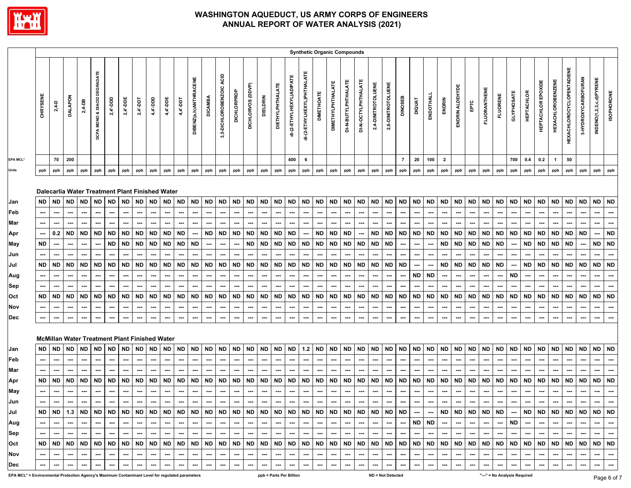

|                                                                                                 |                                                                                                          |                                                                                                                                                                                                 |                                                                                               |                                                                                            |                                                                                            |                                                                                                         |                                                                                                         |                                                                                           |                                                                                                                |                                                                                                                                            |                                                                                                  |                                                                                                   |                                                                                                         |                                                                                                         |                                                                                                                                                                                      |                                                                                                                      |                                                                                                                      |                                                                                                          |                                                                                                 |                                                                                                                 |                                                                                                               | <b>Synthetic Organic Compounds</b>                                                                      |                                                                                                               |                                                                                                         |                                                                                                                              |                                                                                                                              |                                                                                                   |                                                                                            |                                                                                                         |                                                                                                                                 |                                                                                                        |                                                                                          |                                                                                                  |                                                                                          |                                                                                                                                                          |                                                                                                        |                                                                                    |                                                                                                         |                                                                                 |                                                                                                        |                                                                                                                   |                                                                                                  |
|-------------------------------------------------------------------------------------------------|----------------------------------------------------------------------------------------------------------|-------------------------------------------------------------------------------------------------------------------------------------------------------------------------------------------------|-----------------------------------------------------------------------------------------------|--------------------------------------------------------------------------------------------|--------------------------------------------------------------------------------------------|---------------------------------------------------------------------------------------------------------|---------------------------------------------------------------------------------------------------------|-------------------------------------------------------------------------------------------|----------------------------------------------------------------------------------------------------------------|--------------------------------------------------------------------------------------------------------------------------------------------|--------------------------------------------------------------------------------------------------|---------------------------------------------------------------------------------------------------|---------------------------------------------------------------------------------------------------------|---------------------------------------------------------------------------------------------------------|--------------------------------------------------------------------------------------------------------------------------------------------------------------------------------------|----------------------------------------------------------------------------------------------------------------------|----------------------------------------------------------------------------------------------------------------------|----------------------------------------------------------------------------------------------------------|-------------------------------------------------------------------------------------------------|-----------------------------------------------------------------------------------------------------------------|---------------------------------------------------------------------------------------------------------------|---------------------------------------------------------------------------------------------------------|---------------------------------------------------------------------------------------------------------------|---------------------------------------------------------------------------------------------------------|------------------------------------------------------------------------------------------------------------------------------|------------------------------------------------------------------------------------------------------------------------------|---------------------------------------------------------------------------------------------------|--------------------------------------------------------------------------------------------|---------------------------------------------------------------------------------------------------------|---------------------------------------------------------------------------------------------------------------------------------|--------------------------------------------------------------------------------------------------------|------------------------------------------------------------------------------------------|--------------------------------------------------------------------------------------------------|------------------------------------------------------------------------------------------|----------------------------------------------------------------------------------------------------------------------------------------------------------|--------------------------------------------------------------------------------------------------------|------------------------------------------------------------------------------------|---------------------------------------------------------------------------------------------------------|---------------------------------------------------------------------------------|--------------------------------------------------------------------------------------------------------|-------------------------------------------------------------------------------------------------------------------|--------------------------------------------------------------------------------------------------|
|                                                                                                 | CHRYSENE                                                                                                 | $2,4-5$                                                                                                                                                                                         | <b>DALAPON</b>                                                                                | $2,4-DB$                                                                                   | <b>DCPA MONO &amp; DIACID DEGRADATE</b>                                                    | $2,4$ -DDD                                                                                              | $2,4$ '-DDE                                                                                             | 2,4'-DDT                                                                                  | 4,4'-DDD                                                                                                       | 4,4'-DDE                                                                                                                                   | 4,4'-DDT                                                                                         | <b>DIBENZ(a,h)ANTHRACENE</b>                                                                      | <b>DICAMBA</b>                                                                                          | 3,5-DICHLOROBENZOIC ACID                                                                                | DICHLORPROP                                                                                                                                                                          | DICHLORVOS (DDVP)                                                                                                    | <b>DIELDRIN</b>                                                                                                      | <b>DIETHYLPHTHALATE</b>                                                                                  | di-(2-ETHYLHEXYL)ADIPATE                                                                        | di-(2-ETHYLHEXYL)PHTHALATE                                                                                      | <b>DIMETHOATE</b>                                                                                             | <b>DIMETHYLPHTHALATE</b>                                                                                | DI-N-BUTYLPHTHALATE                                                                                           | DI-N-OCTYLPHTHALATE                                                                                     | 2,4-DINITROTOLUENE                                                                                                           | 2,6-DINITROTOLUENE                                                                                                           | <b>DINOSEB</b>                                                                                    | <b>DIQUAT</b>                                                                              | ENDOTHALL                                                                                               | ENDRIN                                                                                                                          | ENDRIN ALDEHYDE                                                                                        | EРTC                                                                                     | <b>FLUORANTHENE</b>                                                                              | <b>FLUORENE</b>                                                                          | <b>GLYPHOSATE</b>                                                                                                                                        | <b>HEPTACHLOR</b>                                                                                      | HEPTACHLOR EPOXIDE                                                                 | <b>HEXACHLOROBENZENE</b>                                                                                | <b>HEXACHLOROCYCLOPENTADIENE</b>                                                | 3-HYDROXYCARBOFURAN                                                                                    | INDENO(1,2,3,c,d)PYRENE                                                                                           | <b>ISOPHORONE</b>                                                                                |
| EPA MCL*                                                                                        |                                                                                                          | 70                                                                                                                                                                                              | 200                                                                                           |                                                                                            |                                                                                            |                                                                                                         |                                                                                                         |                                                                                           |                                                                                                                |                                                                                                                                            |                                                                                                  |                                                                                                   |                                                                                                         |                                                                                                         |                                                                                                                                                                                      |                                                                                                                      |                                                                                                                      |                                                                                                          | 400                                                                                             | 6                                                                                                               |                                                                                                               |                                                                                                         |                                                                                                               |                                                                                                         |                                                                                                                              |                                                                                                                              | $\overline{7}$                                                                                    | 20                                                                                         | 100                                                                                                     | $\overline{2}$                                                                                                                  |                                                                                                        |                                                                                          |                                                                                                  |                                                                                          | 700                                                                                                                                                      | 0.4                                                                                                    | 0.2                                                                                | $\mathbf{1}$                                                                                            | 50                                                                              |                                                                                                        |                                                                                                                   |                                                                                                  |
| <b>Units</b>                                                                                    | ppb                                                                                                      | ppb                                                                                                                                                                                             | ppb                                                                                           | ppb                                                                                        | ppb                                                                                        | ppb                                                                                                     | ppb                                                                                                     | ppb                                                                                       | ppb                                                                                                            | ppb                                                                                                                                        | ppb                                                                                              | ppb                                                                                               | ppb                                                                                                     | ppb                                                                                                     | ppb                                                                                                                                                                                  | ppb                                                                                                                  | ppb                                                                                                                  | ppb                                                                                                      | ppb                                                                                             | ppb                                                                                                             | ppb                                                                                                           | ppb                                                                                                     | ppb                                                                                                           | ppb                                                                                                     | ppb                                                                                                                          | ppb                                                                                                                          | ppb                                                                                               | ppb                                                                                        | ppb                                                                                                     | ppb                                                                                                                             | ppb                                                                                                    | ppb                                                                                      | ppb                                                                                              | ppb                                                                                      | ppb                                                                                                                                                      | ppb                                                                                                    | ppb                                                                                | ppb                                                                                                     | ppb                                                                             | ppb                                                                                                    | ppb                                                                                                               | ppb                                                                                              |
| Jan<br>Feb<br>Mar<br>Apr<br><b>May</b><br>Jun<br>Jul<br>Aug<br>Sep<br>Oct<br>Nov<br>Dec         | <b>ND</b><br>---<br>---<br>---<br><b>ND</b><br>---<br><b>ND</b><br>---<br>---<br><b>ND</b><br>---<br>--- | Dalecarlia Water Treatment Plant Finished Water<br><b>ND</b><br>---<br>0.2<br>---<br>---<br><b>ND</b><br>---<br><b>ND</b><br>---<br>---<br><b>McMillan Water Treatment Plant Finished Water</b> | <b>ND</b><br>$\sim$<br><b>ND</b><br>---<br>---<br><b>ND</b><br>---<br><b>ND</b><br>---<br>--- | <b>ND</b><br>---<br><b>ND</b><br>---<br>---<br><b>ND</b><br>---<br><b>ND</b><br>---<br>--- | <b>ND</b><br>---<br><b>ND</b><br>---<br>---<br><b>ND</b><br>---<br><b>ND</b><br>---<br>--- | <b>ND</b><br>---<br><b>ND</b><br><b>ND</b><br>---<br><b>ND</b><br>---<br>---<br><b>ND</b><br>---<br>--- | <b>ND</b><br>---<br><b>ND</b><br><b>ND</b><br>---<br><b>ND</b><br>---<br>---<br><b>ND</b><br>---<br>--- | <b>ND</b><br>---<br><b>ND</b><br><b>ND</b><br>---<br><b>ND</b><br>---<br><b>ND</b><br>--- | <b>ND</b><br>---<br>ND<br><b>ND</b><br>---<br><b>ND</b><br>---<br><b>ND</b><br>$\hspace{0.05cm} \cdots$<br>--- | <b>ND</b><br>---<br><b>ND</b><br><b>ND</b><br>$\overline{\phantom{a}}$<br><b>ND</b><br>---<br><b>ND</b><br>$\hspace{0.05cm} \cdots$<br>--- | <b>ND</b><br>---<br><b>ND</b><br><b>ND</b><br>---<br><b>ND</b><br>---<br><b>ND</b><br>---<br>--- | <b>ND</b><br>---<br>---<br><b>ND</b><br>---<br><b>ND</b><br>---<br>---<br><b>ND</b><br>---<br>--- | <b>ND</b><br>---<br><b>ND</b><br>---<br>---<br><b>ND</b><br>---<br><b>ND</b><br>---<br>---<br><b>ND</b> | <b>ND</b><br>---<br><b>ND</b><br>---<br>---<br><b>ND</b><br>---<br><b>ND</b><br>---<br>---<br><b>ND</b> | <b>ND</b><br>---<br>$\sf ND$<br>$\overline{\phantom{a}}$<br>$\hspace{0.05cm} \cdots$<br><b>ND</b><br>---<br>$\hspace{0.05cm} \cdots$<br><b>ND</b><br>$\hspace{0.05cm} \cdots$<br>--- | <b>ND</b><br>---<br><b>ND</b><br><b>ND</b><br>---<br><b>ND</b><br>---<br>---<br><b>ND</b><br>---<br>---<br><b>ND</b> | <b>ND</b><br>---<br><b>ND</b><br><b>ND</b><br>---<br><b>ND</b><br>---<br>---<br><b>ND</b><br>---<br>---<br><b>ND</b> | <b>ND</b><br>---<br><b>ND</b><br><b>ND</b><br>---<br>${\sf ND}$<br>---<br>---<br><b>ND</b><br>---<br>--- | <b>ND</b><br>---<br>$\sf ND$<br><b>ND</b><br>---<br><b>ND</b><br>---<br><b>ND</b><br>---<br>--- | <b>ND</b><br>---<br>---<br><b>ND</b><br>---<br><b>ND</b><br>---<br><b>ND</b><br>$\hspace{0.05cm} \cdots$<br>--- | <b>ND</b><br>---<br><b>ND</b><br><b>ND</b><br>---<br><b>ND</b><br>---<br>---<br><b>ND</b><br>---<br>---<br>ND | <b>ND</b><br>---<br><b>ND</b><br><b>ND</b><br>---<br><b>ND</b><br>---<br>---<br><b>ND</b><br>---<br>--- | <b>ND</b><br>---<br><b>ND</b><br><b>ND</b><br>---<br><b>ND</b><br>---<br><b>ND</b><br>---<br>---<br><b>ND</b> | <b>ND</b><br>---<br>---<br><b>ND</b><br>---<br><b>ND</b><br>---<br><b>ND</b><br>---<br>---<br><b>ND</b> | <b>ND</b><br>---<br>---<br>${\sf ND}$<br><b>ND</b><br>---<br><b>ND</b><br>---<br>---<br><b>ND</b><br>---<br>---<br><b>ND</b> | <b>ND</b><br>---<br><b>ND</b><br><b>ND</b><br>$\hspace{0.05cm} \cdots$<br><b>ND</b><br>---<br>---<br><b>ND</b><br>---<br>--- | <b>ND</b><br>---<br><b>ND</b><br>---<br>---<br><b>ND</b><br>---<br>---<br><b>ND</b><br>---<br>--- | <b>ND</b><br>---<br><b>ND</b><br>---<br>---<br>---<br>ND<br>---<br><b>ND</b><br>---<br>--- | <b>ND</b><br>---<br><b>ND</b><br>---<br>---<br><b>ND</b><br>---<br><b>ND</b><br>---<br>---<br><b>ND</b> | <b>ND</b><br>---<br><b>ND</b><br><b>ND</b><br>$\overline{\phantom{a}}$<br><b>ND</b><br>---<br>---<br><b>ND</b><br>$\sim$<br>--- | <b>ND</b><br>---<br><b>ND</b><br><b>ND</b><br><b>ND</b><br>---<br><b>ND</b><br>---<br>---<br><b>ND</b> | <b>ND</b><br>---<br>$\sf ND$<br><b>ND</b><br><b>ND</b><br>---<br><b>ND</b><br>---<br>--- | <b>ND</b><br>---<br><b>ND</b><br><b>ND</b><br>---<br><b>ND</b><br>---<br><b>ND</b><br>---<br>--- | <b>ND</b><br>---<br>ND<br>ND<br>---<br><b>ND</b><br>---<br>ND<br>---<br>---<br><b>ND</b> | <b>ND</b><br>---<br><b>ND</b><br>---<br>$\overline{\phantom{a}}$<br>---<br><b>ND</b><br>---<br><b>ND</b><br>$\overline{\phantom{a}}$<br>---<br><b>ND</b> | <b>ND</b><br>---<br>$\sf ND$<br><b>ND</b><br>---<br><b>ND</b><br>---<br>---<br><b>ND</b><br>---<br>--- | <b>ND</b><br>---<br><b>ND</b><br><b>ND</b><br><b>ND</b><br><b>ND</b><br>---<br>--- | <b>ND</b><br>---<br><b>ND</b><br><b>ND</b><br>---<br><b>ND</b><br>---<br>---<br><b>ND</b><br>---<br>--- | ND<br>---<br><b>ND</b><br><b>ND</b><br>---<br><b>ND</b><br>---<br><b>ND</b><br> | <b>ND</b><br>---<br><b>ND</b><br>---<br>$\sim$<br><b>ND</b><br><b>ND</b><br>$\sim$<br>---<br><b>ND</b> | <b>ND</b><br>---<br>$\hspace{0.05cm} \cdots$<br><b>ND</b><br>---<br><b>ND</b><br><b>ND</b><br>---<br>---<br>ND ND | ND<br>---<br>---<br><b>ND</b><br><b>ND</b><br>---<br><b>ND</b><br>---<br><b>ND</b><br>---<br>--- |
| Jan                                                                                             | ND                                                                                                       | <b>ND</b>                                                                                                                                                                                       | <b>ND</b>                                                                                     | <b>ND</b>                                                                                  | <b>ND</b>                                                                                  | <b>ND</b>                                                                                               | <b>ND</b>                                                                                               | <b>ND</b>                                                                                 | <b>ND</b>                                                                                                      | <b>ND</b>                                                                                                                                  | <b>ND</b>                                                                                        | <b>ND</b>                                                                                         |                                                                                                         |                                                                                                         | <b>ND</b>                                                                                                                                                                            |                                                                                                                      |                                                                                                                      | <b>ND</b>                                                                                                | <b>ND</b>                                                                                       | $1.2$                                                                                                           |                                                                                                               | <b>ND</b>                                                                                               |                                                                                                               |                                                                                                         |                                                                                                                              | <b>ND</b>                                                                                                                    | <b>ND</b>                                                                                         | <b>ND</b>                                                                                  |                                                                                                         | ND                                                                                                                              |                                                                                                        | <b>ND</b>                                                                                | <b>ND</b>                                                                                        |                                                                                          |                                                                                                                                                          |                                                                                                        | ND ND                                                                              | <b>ND</b>                                                                                               | ND                                                                              |                                                                                                        |                                                                                                                   |                                                                                                  |
| Feb                                                                                             | ---                                                                                                      | ---                                                                                                                                                                                             | ---                                                                                           | ---                                                                                        | ---                                                                                        | ---                                                                                                     | ---                                                                                                     | ---                                                                                       | ---                                                                                                            | $\overline{\phantom{a}}$                                                                                                                   | ---                                                                                              | ---                                                                                               | $\hspace{0.05cm} \cdots$                                                                                | $\sim$                                                                                                  | $\overline{\phantom{a}}$                                                                                                                                                             | ---                                                                                                                  | ---                                                                                                                  | ---                                                                                                      | ---                                                                                             | $\hspace{0.05cm} \cdots$                                                                                        | $\hspace{0.05cm} \cdots$                                                                                      | ---                                                                                                     | ---                                                                                                           | ---                                                                                                     | ---                                                                                                                          | $\hspace{0.05cm} \cdots$                                                                                                     | ---                                                                                               | ---                                                                                        | ---                                                                                                     | $\overline{\phantom{a}}$                                                                                                        | ---                                                                                                    | ---                                                                                      | ---                                                                                              | ---                                                                                      | $\overline{\phantom{a}}$                                                                                                                                 | ---                                                                                                    | ---                                                                                | ---                                                                                                     | ---                                                                             | $\sim$                                                                                                 | $\hspace{0.05cm} \cdots$                                                                                          | ---                                                                                              |
| Mar                                                                                             | ---                                                                                                      |                                                                                                                                                                                                 | ---<br><b>ND</b>                                                                              | ---                                                                                        | ---                                                                                        | ---                                                                                                     | ---                                                                                                     | ---                                                                                       | ---                                                                                                            |                                                                                                                                            | ---                                                                                              | ---                                                                                               | <b>ND</b>                                                                                               | ---                                                                                                     | ---                                                                                                                                                                                  | ---                                                                                                                  | ---                                                                                                                  | ---                                                                                                      | ---                                                                                             | ---                                                                                                             | ---                                                                                                           | ---                                                                                                     | ---                                                                                                           | ---                                                                                                     | ---                                                                                                                          | ---                                                                                                                          | ---                                                                                               | ---                                                                                        |                                                                                                         | ---                                                                                                                             | ---                                                                                                    | ---                                                                                      | ---                                                                                              | ---                                                                                      | ---                                                                                                                                                      | ---                                                                                                    |                                                                                    | ---                                                                                                     |                                                                                 | <b>ND</b>                                                                                              | ---                                                                                                               | ---<br><b>ND</b>                                                                                 |
| Apr<br><b>May</b>                                                                               | <b>ND</b><br>---                                                                                         | <b>ND</b><br>---                                                                                                                                                                                | ---                                                                                           | ND<br>---                                                                                  | ND<br>---                                                                                  | <b>ND</b>                                                                                               | <b>ND</b><br>---                                                                                        | <b>ND</b><br>---                                                                          | ND<br>$\hspace{0.05cm} \cdots$                                                                                 | <b>ND</b><br>$\hspace{0.05cm} \cdots$                                                                                                      | <b>ND</b><br>---                                                                                 | <b>ND</b><br>---                                                                                  | ---                                                                                                     | <b>ND</b><br>$\hspace{0.05cm} \cdots$                                                                   | <b>ND</b><br>$\hspace{0.05cm} \cdots$                                                                                                                                                | <b>ND</b>                                                                                                            | <b>ND</b><br>---                                                                                                     | <b>ND</b><br>---                                                                                         | <b>ND</b><br>---                                                                                | <b>ND</b><br>---                                                                                                | <b>ND</b><br>$\hspace{0.05cm} \cdots$                                                                         | ND<br>---                                                                                               | <b>ND</b><br>---                                                                                              | <b>ND</b><br>---                                                                                        | <b>ND</b><br>---                                                                                                             | <b>ND</b><br>$\hspace{0.05cm} \cdots$                                                                                        | <b>ND</b><br>$\hspace{0.05cm} \cdots$                                                             | <b>ND</b><br>---                                                                           | <b>ND</b><br>---                                                                                        | <b>ND</b><br>---                                                                                                                | <b>ND</b><br>---                                                                                       | <b>ND</b><br>---                                                                         | <b>ND</b><br>---                                                                                 | <b>ND</b><br>---                                                                         | <b>ND</b><br>---                                                                                                                                         | <b>ND</b>                                                                                              | ND<br>---                                                                          | <b>ND</b><br>---                                                                                        | <b>ND</b><br>---                                                                | $\overline{\phantom{a}}$                                                                               | <b>ND</b><br>---                                                                                                  |                                                                                                  |
| Jun                                                                                             | ---                                                                                                      | ---                                                                                                                                                                                             | ---                                                                                           | ---                                                                                        | ---                                                                                        | ---<br>---                                                                                              | ---                                                                                                     | ---                                                                                       | ---                                                                                                            | $\overline{\phantom{a}}$                                                                                                                   | ---                                                                                              | ---                                                                                               | ---                                                                                                     | ---                                                                                                     | ---                                                                                                                                                                                  | ---<br>---                                                                                                           | ---                                                                                                                  | ---                                                                                                      | ---                                                                                             | ---                                                                                                             | ---                                                                                                           | ---                                                                                                     | ---                                                                                                           | ---                                                                                                     | ---                                                                                                                          | $\hspace{0.05cm} \cdots$                                                                                                     | ---                                                                                               | ---                                                                                        | ---                                                                                                     | ---                                                                                                                             | ---                                                                                                    | ---                                                                                      | ---                                                                                              | ---                                                                                      | ---                                                                                                                                                      | ---<br>---                                                                                             | ---                                                                                | ---                                                                                                     | ---                                                                             | ---                                                                                                    | ---                                                                                                               |                                                                                                  |
| Jul                                                                                             | <b>ND</b>                                                                                                | <b>ND</b>                                                                                                                                                                                       | 1.3                                                                                           | <b>ND</b>                                                                                  | <b>ND</b>                                                                                  | <b>ND</b>                                                                                               | <b>ND</b>                                                                                               | <b>ND</b>                                                                                 | <b>ND</b>                                                                                                      | ND                                                                                                                                         | <b>ND</b>                                                                                        | <b>ND</b>                                                                                         | <b>ND</b>                                                                                               | <b>ND</b>                                                                                               | <b>ND</b>                                                                                                                                                                            | <b>ND</b>                                                                                                            | <b>ND</b>                                                                                                            | <b>ND</b>                                                                                                | <b>ND</b>                                                                                       | <b>ND</b>                                                                                                       | <b>ND</b>                                                                                                     | <b>ND</b>                                                                                               | <b>ND</b>                                                                                                     | <b>ND</b>                                                                                               | <b>ND</b>                                                                                                                    | <b>ND</b>                                                                                                                    | <b>ND</b>                                                                                         | ---                                                                                        |                                                                                                         | <b>ND</b>                                                                                                                       | <b>ND</b>                                                                                              | <b>ND</b>                                                                                | <b>ND</b>                                                                                        | <b>ND</b>                                                                                | $\overline{\phantom{a}}$                                                                                                                                 | <b>ND</b>                                                                                              | <b>ND</b>                                                                          | <b>ND</b>                                                                                               | <b>ND</b>                                                                       | <b>ND</b>                                                                                              | ND ND                                                                                                             |                                                                                                  |
| Aug                                                                                             | ---                                                                                                      | ---                                                                                                                                                                                             |                                                                                               | ---                                                                                        | ---                                                                                        | ---                                                                                                     | ---                                                                                                     |                                                                                           | ---                                                                                                            |                                                                                                                                            | ---                                                                                              | ---                                                                                               |                                                                                                         | ---                                                                                                     | ---                                                                                                                                                                                  | ---                                                                                                                  | ---                                                                                                                  | ---                                                                                                      | ---                                                                                             |                                                                                                                 | ---                                                                                                           | ---                                                                                                     | ---                                                                                                           | ---                                                                                                     | ---                                                                                                                          | ---                                                                                                                          | ---                                                                                               | <b>ND</b>                                                                                  | <b>ND</b>                                                                                               | $\overline{\phantom{a}}$                                                                                                        | ---                                                                                                    | ---                                                                                      | ---                                                                                              | ---                                                                                      | <b>ND</b>                                                                                                                                                | ---                                                                                                    |                                                                                    | ---                                                                                                     | ---                                                                             |                                                                                                        | ---                                                                                                               | ---                                                                                              |
| <b>Sep</b>                                                                                      |                                                                                                          |                                                                                                                                                                                                 |                                                                                               |                                                                                            |                                                                                            |                                                                                                         | ---                                                                                                     | ---                                                                                       |                                                                                                                |                                                                                                                                            |                                                                                                  | ---                                                                                               |                                                                                                         | ---                                                                                                     | ---                                                                                                                                                                                  | ---                                                                                                                  |                                                                                                                      | ---                                                                                                      |                                                                                                 |                                                                                                                 | ---                                                                                                           | ---                                                                                                     |                                                                                                               |                                                                                                         | ---                                                                                                                          | ---                                                                                                                          |                                                                                                   | ---                                                                                        |                                                                                                         | ---                                                                                                                             |                                                                                                        |                                                                                          |                                                                                                  |                                                                                          | $\sim$                                                                                                                                                   |                                                                                                        |                                                                                    | ---                                                                                                     |                                                                                 | $\overline{\phantom{a}}$                                                                               | ---                                                                                                               | ---                                                                                              |
| Oct                                                                                             | ND                                                                                                       | <b>ND</b>                                                                                                                                                                                       | <b>ND</b>                                                                                     | <b>ND</b>                                                                                  | <b>ND</b>                                                                                  |                                                                                                         | ND ND                                                                                                   | <b>ND</b>                                                                                 |                                                                                                                | ND ND                                                                                                                                      | <b>ND</b>                                                                                        | <b>ND</b>                                                                                         | <b>ND</b>                                                                                               | <b>ND</b>                                                                                               | <b>ND</b>                                                                                                                                                                            | <b>ND</b>                                                                                                            | <b>ND</b>                                                                                                            | <b>ND</b>                                                                                                | ND                                                                                              | <b>ND</b>                                                                                                       | <b>ND</b>                                                                                                     | <b>ND</b>                                                                                               | <b>ND</b>                                                                                                     | <b>ND</b>                                                                                               | <b>ND</b>                                                                                                                    | <b>ND</b>                                                                                                                    | <b>ND</b>                                                                                         | <b>ND</b>                                                                                  | <b>ND</b>                                                                                               | <b>ND</b>                                                                                                                       | <b>ND</b>                                                                                              | <b>ND</b>                                                                                | <b>ND</b>                                                                                        | <b>ND</b>                                                                                | <b>ND</b>                                                                                                                                                | ND ND                                                                                                  |                                                                                    | <b>ND</b>                                                                                               | <b>ND</b>                                                                       | <b>ND</b>                                                                                              | ND ND                                                                                                             |                                                                                                  |
| Nov                                                                                             | ---                                                                                                      | ---                                                                                                                                                                                             | ---                                                                                           | ---                                                                                        | ---                                                                                        | ---                                                                                                     | ---                                                                                                     | ---                                                                                       | ---                                                                                                            | $\hspace{0.05cm} \cdots$                                                                                                                   | ---                                                                                              | ---                                                                                               | ---                                                                                                     | ---                                                                                                     | $\overline{\phantom{a}}$                                                                                                                                                             | ---                                                                                                                  | ---                                                                                                                  | ---                                                                                                      | ---                                                                                             | ---                                                                                                             | ---                                                                                                           | ---                                                                                                     | ---                                                                                                           | ---                                                                                                     | ---                                                                                                                          | ---                                                                                                                          | ---                                                                                               | ---                                                                                        | ---                                                                                                     | ---                                                                                                                             | ---                                                                                                    |                                                                                          | ---                                                                                              | ---                                                                                      | ---                                                                                                                                                      | ---                                                                                                    | ---                                                                                | ---                                                                                                     | ---                                                                             | ---                                                                                                    | ---                                                                                                               | ---                                                                                              |
| Dec                                                                                             | ---                                                                                                      | ---                                                                                                                                                                                             | $\hspace{0.05cm} \cdots$                                                                      | ---                                                                                        | ---                                                                                        | ---                                                                                                     | ---                                                                                                     | ---                                                                                       | $\hspace{0.05cm} \cdots$                                                                                       | $\overline{\phantom{a}}$                                                                                                                   | ---                                                                                              | ---                                                                                               | ---                                                                                                     | $\hspace{0.05cm} \cdots$                                                                                | $\hspace{0.05cm} \cdots$                                                                                                                                                             | ---                                                                                                                  | ---                                                                                                                  | ---                                                                                                      | ---                                                                                             | $\hspace{0.05cm} \cdots$                                                                                        | $\hspace{0.05cm} \cdots$                                                                                      | ---                                                                                                     | $\overline{\phantom{a}}$                                                                                      | ---                                                                                                     | $\hspace{0.05cm} \cdots$                                                                                                     | ---                                                                                                                          | ---                                                                                               | ---                                                                                        | ---                                                                                                     | $\cdots$                                                                                                                        | ---                                                                                                    | ---                                                                                      | ---                                                                                              | ---                                                                                      | $\hspace{0.05cm} \cdots$                                                                                                                                 | ---                                                                                                    | ---                                                                                | ---                                                                                                     | ---                                                                             | $\sim$                                                                                                 | ---                                                                                                               | $\sim$                                                                                           |
| EPA MCL* = Environmental Protection Agency's Maximum Contaminant Level for regulated parameters |                                                                                                          |                                                                                                                                                                                                 |                                                                                               |                                                                                            |                                                                                            |                                                                                                         |                                                                                                         |                                                                                           |                                                                                                                |                                                                                                                                            |                                                                                                  |                                                                                                   |                                                                                                         |                                                                                                         |                                                                                                                                                                                      |                                                                                                                      |                                                                                                                      | ppb = Parts Per Billion                                                                                  |                                                                                                 |                                                                                                                 |                                                                                                               |                                                                                                         |                                                                                                               |                                                                                                         |                                                                                                                              | ND = Not Detected                                                                                                            |                                                                                                   |                                                                                            |                                                                                                         |                                                                                                                                 |                                                                                                        |                                                                                          |                                                                                                  |                                                                                          | "---" = No Analysis Required                                                                                                                             |                                                                                                        |                                                                                    |                                                                                                         |                                                                                 |                                                                                                        |                                                                                                                   | Page 6 o                                                                                         |

Page 6 of 7